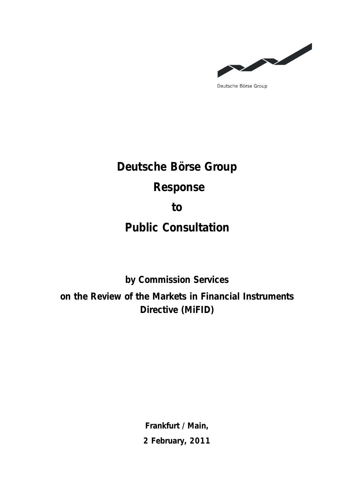

Deutsche Börse Group

**Deutsche Börse Group Response to Public Consultation** 

**by Commission Services on the Review of the Markets in Financial Instruments Directive (MiFID)** 

> **Frankfurt / Main, 2 February, 2011**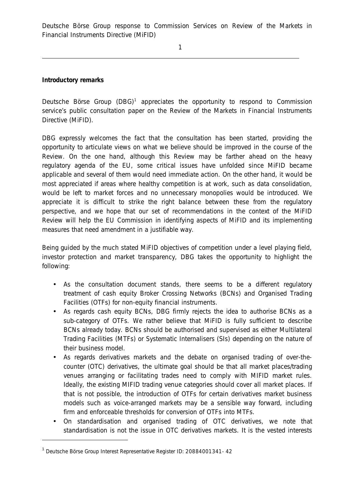1

**Introductory remarks**

Deutsche Börse Group (DBG)<sup>1</sup> appreciates the opportunity to respond to Commission service's public consultation paper on the Review of the Markets in Financial Instruments Directive (MiFID).

DBG expressly welcomes the fact that the consultation has been started, providing the opportunity to articulate views on what we believe should be improved in the course of the Review. On the one hand, although this Review may be farther ahead on the heavy regulatory agenda of the EU, some critical issues have unfolded since MiFID became applicable and several of them would need immediate action. On the other hand, it would be most appreciated if areas where healthy competition is at work, such as data consolidation, would be left to market forces and no unnecessary monopolies would be introduced. We appreciate it is difficult to strike the right balance between these from the regulatory perspective, and we hope that our set of recommendations in the context of the MiFID Review will help the EU Commission in identifying aspects of MiFID and its implementing measures that need amendment in a justifiable way.

Being guided by the much stated MiFID objectives of competition under a level playing field, investor protection and market transparency, DBG takes the opportunity to highlight the following:

- As the consultation document stands, there seems to be a different regulatory treatment of cash equity Broker Crossing Networks (BCNs) and Organised Trading Facilities (OTFs) for non-equity financial instruments.
- As regards cash equity BCNs, DBG firmly rejects the idea to authorise BCNs as a sub-category of OTFs. We rather believe that MiFID is fully sufficient to describe BCNs already today. BCNs should be authorised and supervised as either Multilateral Trading Facilities (MTFs) or Systematic Internalisers (SIs) depending on the nature of their business model.
- As regards derivatives markets and the debate on organised trading of over-thecounter (OTC) derivatives, the ultimate goal should be that all market places/trading venues arranging or facilitating trades need to comply with MIFID market rules. Ideally, the existing MIFID trading venue categories should cover all market places. If that is not possible, the introduction of OTFs for certain derivatives market business models such as voice-arranged markets may be a sensible way forward, including firm and enforceable thresholds for conversion of OTFs into MTFs.
- On standardisation and organised trading of OTC derivatives, we note that standardisation is not the issue in OTC derivatives markets. It is the vested interests

j

<sup>&</sup>lt;sup>1</sup> Deutsche Börse Group Interest Representative Register ID: 20884001341- 42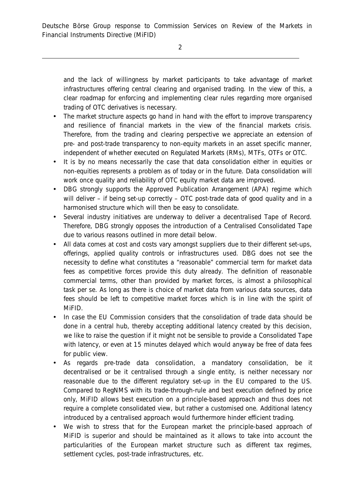and the lack of willingness by market participants to take advantage of market infrastructures offering central clearing and organised trading. In the view of this, a clear roadmap for enforcing and implementing clear rules regarding more organised trading of OTC derivatives is necessary.

- The market structure aspects go hand in hand with the effort to improve transparency and resilience of financial markets in the view of the financial markets crisis. Therefore, from the trading and clearing perspective we appreciate an extension of pre- and post-trade transparency to non-equity markets in an asset specific manner, independent of whether executed on Regulated Markets (RMs), MTFs, OTFs or OTC.
- It is by no means necessarily the case that data consolidation either in equities or non-equities represents a problem as of today or in the future. Data consolidation will work once quality and reliability of OTC equity market data are improved.
- DBG strongly supports the Approved Publication Arrangement (APA) regime which will deliver – if being set-up correctly – OTC post-trade data of good quality and in a harmonised structure which will then be easy to consolidate.
- Several industry initiatives are underway to deliver a decentralised Tape of Record. Therefore, DBG strongly opposes the introduction of a Centralised Consolidated Tape due to various reasons outlined in more detail below.
- All data comes at cost and costs vary amongst suppliers due to their different set-ups, offerings, applied quality controls or infrastructures used. DBG does not see the necessity to define what constitutes a "reasonable" commercial term for market data fees as competitive forces provide this duty already. The definition of reasonable commercial terms, other than provided by market forces, is almost a philosophical task per se. As long as there is choice of market data from various data sources, data fees should be left to competitive market forces which is in line with the spirit of MiFID.
- In case the EU Commission considers that the consolidation of trade data should be done in a central hub, thereby accepting additional latency created by this decision, we like to raise the question if it might not be sensible to provide a Consolidated Tape with latency, or even at 15 minutes delayed which would anyway be free of data fees for public view.
- As regards pre-trade data consolidation, a mandatory consolidation, be it decentralised or be it centralised through a single entity, is neither necessary nor reasonable due to the different regulatory set-up in the EU compared to the US. Compared to RegNMS with its trade-through-rule and best execution defined by price only, MiFID allows best execution on a principle-based approach and thus does not require a complete consolidated view, but rather a customised one. Additional latency introduced by a centralised approach would furthermore hinder efficient trading.
- We wish to stress that for the European market the principle-based approach of MiFID is superior and should be maintained as it allows to take into account the particularities of the European market structure such as different tax regimes, settlement cycles, post-trade infrastructures, etc.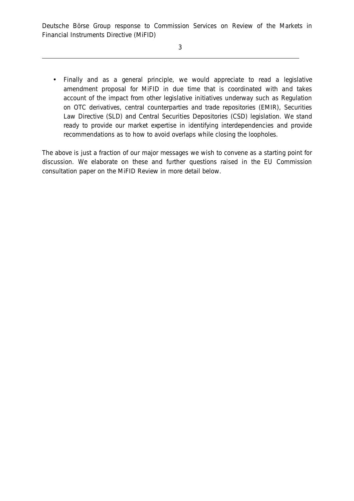• Finally and as a general principle, we would appreciate to read a legislative amendment proposal for MiFID in due time that is coordinated with and takes account of the impact from other legislative initiatives underway such as Regulation on OTC derivatives, central counterparties and trade repositories (EMIR), Securities Law Directive (SLD) and Central Securities Depositories (CSD) legislation. We stand ready to provide our market expertise in identifying interdependencies and provide recommendations as to how to avoid overlaps while closing the loopholes.

The above is just a fraction of our major messages we wish to convene as a starting point for discussion. We elaborate on these and further questions raised in the EU Commission consultation paper on the MiFID Review in more detail below.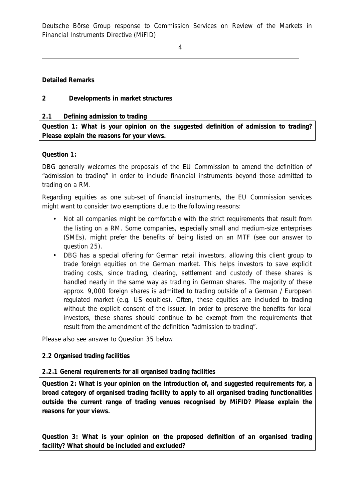4

## **Detailed Remarks**

# **2 Developments in market structures**

### *2.1 Defining admission to trading*

**Question 1: What is your opinion on the suggested definition of admission to trading? Please explain the reasons for your views.** 

### **Question 1:**

DBG generally welcomes the proposals of the EU Commission to amend the definition of "admission to trading" in order to include financial instruments beyond those admitted to trading on a RM.

Regarding equities as one sub-set of financial instruments, the EU Commission services might want to consider two exemptions due to the following reasons:

- Not all companies might be comfortable with the strict requirements that result from the listing on a RM. Some companies, especially small and medium-size enterprises (SMEs), might prefer the benefits of being listed on an MTF (see our answer to question 25).
- DBG has a special offering for German retail investors, allowing this client group to trade foreign equities on the German market. This helps investors to save explicit trading costs, since trading, clearing, settlement and custody of these shares is handled nearly in the same way as trading in German shares. The majority of these approx. 9,000 foreign shares is admitted to trading outside of a German / European regulated market (e.g. US equities). Often, these equities are included to trading without the explicit consent of the issuer. In order to preserve the benefits for local investors, these shares should continue to be exempt from the requirements that result from the amendment of the definition "admission to trading".

Please also see answer to Question 35 below.

## *2.2 Organised trading facilities*

## *2.2.1 General requirements for all organised trading facilities*

**Question 2: What is your opinion on the introduction of, and suggested requirements for, a broad category of organised trading facility to apply to all organised trading functionalities outside the current range of trading venues recognised by MiFID? Please explain the reasons for your views.** 

**Question 3: What is your opinion on the proposed definition of an organised trading facility? What should be included and excluded?**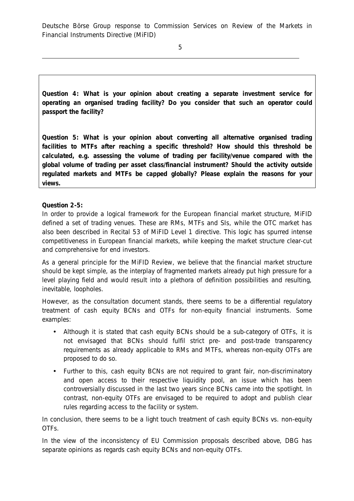5

**Question 4: What is your opinion about creating a separate investment service for operating an organised trading facility? Do you consider that such an operator could passport the facility?** 

**Question 5: What is your opinion about converting all alternative organised trading facilities to MTFs after reaching a specific threshold? How should this threshold be calculated, e.g. assessing the volume of trading per facility/venue compared with the global volume of trading per asset class/financial instrument? Should the activity outside regulated markets and MTFs be capped globally? Please explain the reasons for your views.** 

# **Question 2-5:**

In order to provide a logical framework for the European financial market structure, MiFID defined a set of trading venues. These are RMs, MTFs and SIs, while the OTC market has also been described in Recital 53 of MiFID Level 1 directive. This logic has spurred intense competitiveness in European financial markets, while keeping the market structure clear-cut and comprehensive for end investors.

As a general principle for the MiFID Review, we believe that the financial market structure should be kept simple, as the interplay of fragmented markets already put high pressure for a level playing field and would result into a plethora of definition possibilities and resulting, inevitable, loopholes.

However, as the consultation document stands, there seems to be a differential regulatory treatment of cash equity BCNs and OTFs for non-equity financial instruments. Some examples:

- Although it is stated that cash equity BCNs should be a sub-category of OTFs, it is not envisaged that BCNs should fulfil strict pre- and post-trade transparency requirements as already applicable to RMs and MTFs, whereas non-equity OTFs are proposed to do so.
- Further to this, cash equity BCNs are not required to grant fair, non-discriminatory and open access to their respective liquidity pool, an issue which has been controversially discussed in the last two years since BCNs came into the spotlight. In contrast, non-equity OTFs are envisaged to be required to adopt and publish clear rules regarding access to the facility or system.

In conclusion, there seems to be a light touch treatment of cash equity BCNs vs. non-equity OTFs.

In the view of the inconsistency of EU Commission proposals described above, DBG has separate opinions as regards cash equity BCNs and non-equity OTFs.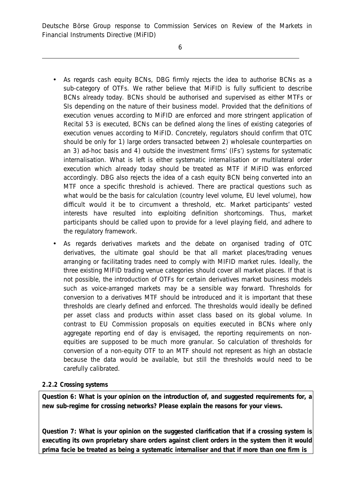- As regards cash equity BCNs, DBG firmly rejects the idea to authorise BCNs as a sub-category of OTFs. We rather believe that MiFID is fully sufficient to describe BCNs already today. BCNs should be authorised and supervised as either MTFs or SIs depending on the nature of their business model. Provided that the definitions of execution venues according to MiFID are enforced and more stringent application of Recital 53 is executed, BCNs can be defined along the lines of existing categories of execution venues according to MiFID. Concretely, regulators should confirm that OTC should be only for 1) large orders transacted between 2) wholesale counterparties on an 3) ad-hoc basis and 4) outside the investment firms' (IFs') systems for systematic internalisation. What is left is either systematic internalisation or multilateral order execution which already today should be treated as MTF if MiFID was enforced accordingly. DBG also rejects the idea of a cash equity BCN being converted into an MTF once a specific threshold is achieved. There are practical questions such as what would be the basis for calculation (country level volume, EU level volume), how difficult would it be to circumvent a threshold, etc. Market participants' vested interests have resulted into exploiting definition shortcomings. Thus, market participants should be called upon to provide for a level playing field, and adhere to the regulatory framework.
- As regards derivatives markets and the debate on organised trading of OTC derivatives, the ultimate goal should be that all market places/trading venues arranging or facilitating trades need to comply with MIFID market rules. Ideally, the three existing MIFID trading venue categories should cover all market places. If that is not possible, the introduction of OTFs for certain derivatives market business models such as voice-arranged markets may be a sensible way forward. Thresholds for conversion to a derivatives MTF should be introduced and it is important that these thresholds are clearly defined and enforced. The thresholds would ideally be defined per asset class and products within asset class based on its global volume. In contrast to EU Commission proposals on equities executed in BCNs where only aggregate reporting end of day is envisaged, the reporting requirements on nonequities are supposed to be much more granular. So calculation of thresholds for conversion of a non-equity OTF to an MTF should not represent as high an obstacle because the data would be available, but still the thresholds would need to be carefully calibrated.

# *2.2.2 Crossing systems*

**Question 6: What is your opinion on the introduction of, and suggested requirements for, a new sub-regime for crossing networks? Please explain the reasons for your views.** 

**Question 7: What is your opinion on the suggested clarification that if a crossing system is executing its own proprietary share orders against client orders in the system then it would prima facie be treated as being a systematic internaliser and that if more than one firm is**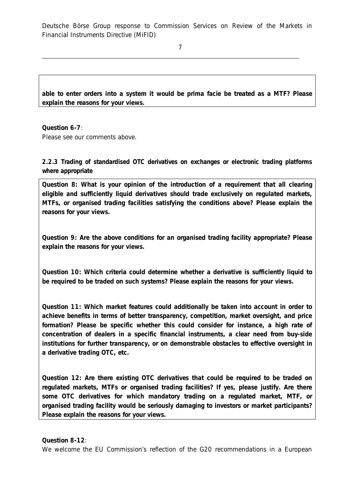7

**able to enter orders into a system it would be prima facie be treated as a MTF? Please explain the reasons for your views.** 

**Question 6-7**: Please see our comments above.

*2.2.3 Trading of standardised OTC derivatives on exchanges or electronic trading platforms where appropriate* 

**Question 8: What is your opinion of the introduction of a requirement that all clearing eligible and sufficiently liquid derivatives should trade exclusively on regulated markets, MTFs, or organised trading facilities satisfying the conditions above? Please explain the reasons for your views.** 

**Question 9: Are the above conditions for an organised trading facility appropriate? Please explain the reasons for your views.** 

**Question 10: Which criteria could determine whether a derivative is sufficiently liquid to be required to be traded on such systems? Please explain the reasons for your views.** 

**Question 11: Which market features could additionally be taken into account in order to achieve benefits in terms of better transparency, competition, market oversight, and price formation? Please be specific whether this could consider for instance, a high rate of concentration of dealers in a specific financial instruments, a clear need from buy-side institutions for further transparency, or on demonstrable obstacles to effective oversight in a derivative trading OTC, etc.** 

**Question 12: Are there existing OTC derivatives that could be required to be traded on regulated markets, MTFs or organised trading facilities? If yes, please justify. Are there some OTC derivatives for which mandatory trading on a regulated market, MTF, or organised trading facility would be seriously damaging to investors or market participants? Please explain the reasons for your views.** 

**Question 8-12**: We welcome the EU Commission's reflection of the G20 recommendations in a European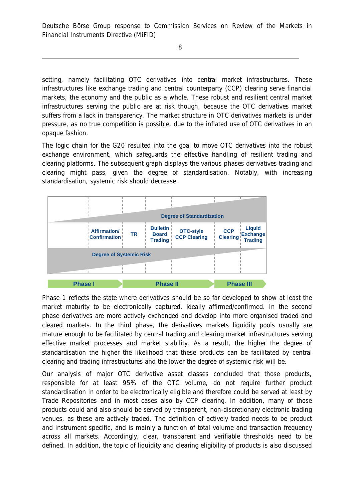8

setting, namely facilitating OTC derivatives into central market infrastructures. These infrastructures like exchange trading and central counterparty (CCP) clearing serve financial markets, the economy and the public as a whole. These robust and resilient central market infrastructures serving the public are at risk though, because the OTC derivatives market suffers from a lack in transparency. The market structure in OTC derivatives markets is under pressure, as no true competition is possible, due to the inflated use of OTC derivatives in an opaque fashion.

The logic chain for the G20 resulted into the goal to move OTC derivatives into the robust exchange environment, which safeguards the effective handling of resilient trading and clearing platforms. The subsequent graph displays the various phases derivatives trading and clearing might pass, given the degree of standardisation. Notably, with increasing standardisation, systemic risk should decrease.



Phase 1 reflects the state where derivatives should be so far developed to show at least the market maturity to be electronically captured, ideally affirmed/confirmed. In the second phase derivatives are more actively exchanged and develop into more organised traded and cleared markets. In the third phase, the derivatives markets liquidity pools usually are mature enough to be facilitated by central trading and clearing market infrastructures serving effective market processes and market stability. As a result, the higher the degree of standardisation the higher the likelihood that these products can be facilitated by central clearing and trading infrastructures and the lower the degree of systemic risk will be.

Our analysis of major OTC derivative asset classes concluded that those products, responsible for at least 95% of the OTC volume, do not require further product standardisation in order to be electronically eligible and therefore could be served at least by Trade Repositories and in most cases also by CCP clearing. In addition, many of those products could and also should be served by transparent, non-discretionary electronic trading venues, as these are actively traded. The definition of actively traded needs to be product and instrument specific, and is mainly a function of total volume and transaction frequency across all markets. Accordingly, clear, transparent and verifiable thresholds need to be defined. In addition, the topic of liquidity and clearing eligibility of products is also discussed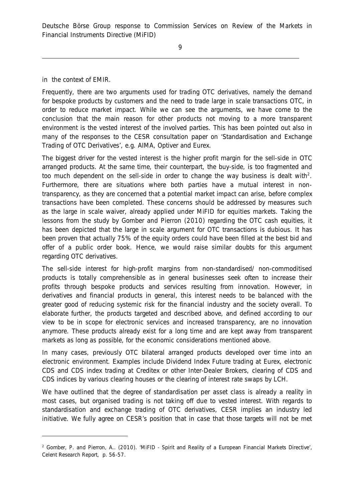in the context of EMIR.

j

Frequently, there are two arguments used for trading OTC derivatives, namely the demand for bespoke products by customers and the need to trade large in scale transactions OTC, in order to reduce market impact. While we can see the arguments, we have come to the conclusion that the main reason for other products not moving to a more transparent environment is the vested interest of the involved parties. This has been pointed out also in many of the responses to the CESR consultation paper on 'Standardisation and Exchange Trading of OTC Derivatives', e.g. AIMA, Optiver and Eurex.

The biggest driver for the vested interest is the higher profit margin for the sell-side in OTC arranged products. At the same time, their counterpart, the buy-side, is too fragmented and too much dependent on the sell-side in order to change the way business is dealt with<sup>2</sup>. Furthermore, there are situations where both parties have a mutual interest in nontransparency, as they are concerned that a potential market impact can arise, before complex transactions have been completed. These concerns should be addressed by measures such as the large in scale waiver, already applied under MiFID for equities markets. Taking the lessons from the study by Gomber and Pierron (2010) regarding the OTC cash equities, it has been depicted that the large in scale argument for OTC transactions is dubious. It has been proven that actually 75% of the equity orders could have been filled at the best bid and offer of a public order book. Hence, we would raise similar doubts for this argument regarding OTC derivatives.

The sell-side interest for high-profit margins from non-standardised/ non-commoditised products is totally comprehensible as in general businesses seek often to increase their profits through bespoke products and services resulting from innovation. However, in derivatives and financial products in general, this interest needs to be balanced with the greater good of reducing systemic risk for the financial industry and the society overall. To elaborate further, the products targeted and described above, and defined according to our view to be in scope for electronic services and increased transparency, are no innovation anymore. These products already exist for a long time and are kept away from transparent markets as long as possible, for the economic considerations mentioned above.

In many cases, previously OTC bilateral arranged products developed over time into an electronic environment. Examples include Dividend Index Future trading at Eurex, electronic CDS and CDS index trading at Creditex or other Inter-Dealer Brokers, clearing of CDS and CDS indices by various clearing houses or the clearing of interest rate swaps by LCH.

We have outlined that the degree of standardisation per asset class is already a reality in most cases, but organised trading is not taking off due to vested interest. With regards to standardisation and exchange trading of OTC derivatives, CESR implies an industry led initiative. We fully agree on CESR's position that in case that those targets will not be met

<sup>&</sup>lt;sup>2</sup> Gomber, P. and Pierron, A., (2010). 'MiFID - Spirit and Reality of a European Financial Markets Directive', Celent Research Report, p. 56-57.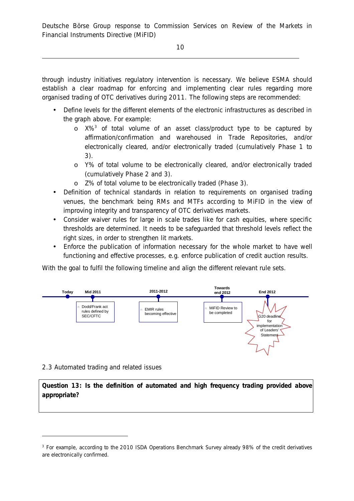10

through industry initiatives regulatory intervention is necessary. We believe ESMA should establish a clear roadmap for enforcing and implementing clear rules regarding more organised trading of OTC derivatives during 2011. The following steps are recommended:

- Define levels for the different elements of the electronic infrastructures as described in the graph above. For example:
	- o X%<sup>3</sup> of total volume of an asset class/product type to be captured by affirmation/confirmation and warehoused in Trade Repositories, and/or electronically cleared, and/or electronically traded (cumulatively Phase 1 to 3).
	- o Y% of total volume to be electronically cleared, and/or electronically traded (cumulatively Phase 2 and 3).
	- o Z% of total volume to be electronically traded (Phase 3).
- Definition of technical standards in relation to requirements on organised trading venues, the benchmark being RMs and MTFs according to MiFID in the view of improving integrity and transparency of OTC derivatives markets.
- Consider waiver rules for large in scale trades like for cash equities, where specific thresholds are determined. It needs to be safeguarded that threshold levels reflect the right sizes, in order to strengthen lit markets.
- Enforce the publication of information necessary for the whole market to have well functioning and effective processes, e.g. enforce publication of credit auction results.

With the goal to fulfil the following timeline and align the different relevant rule sets.



# 2.3 Automated trading and related issues

j

**Question 13: Is the definition of automated and high frequency trading provided above appropriate?** 

<sup>3</sup> For example, according to the 2010 ISDA Operations Benchmark Survey already 98% of the credit derivatives are electronically confirmed.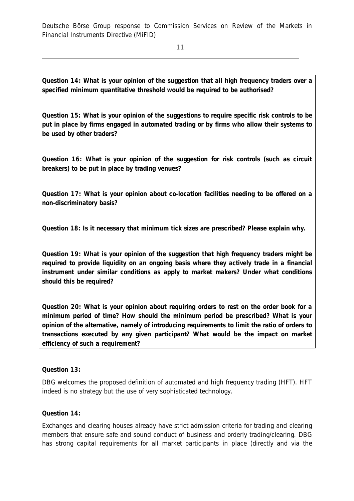11

**Question 14: What is your opinion of the suggestion that all high frequency traders over a specified minimum quantitative threshold would be required to be authorised?** 

**Question 15: What is your opinion of the suggestions to require specific risk controls to be put in place by firms engaged in automated trading or by firms who allow their systems to be used by other traders?** 

**Question 16: What is your opinion of the suggestion for risk controls (such as circuit breakers) to be put in place by trading venues?** 

**Question 17: What is your opinion about co-location facilities needing to be offered on a non-discriminatory basis?** 

**Question 18: Is it necessary that minimum tick sizes are prescribed? Please explain why.** 

**Question 19: What is your opinion of the suggestion that high frequency traders might be required to provide liquidity on an ongoing basis where they actively trade in a financial instrument under similar conditions as apply to market makers? Under what conditions should this be required?** 

**Question 20: What is your opinion about requiring orders to rest on the order book for a minimum period of time? How should the minimum period be prescribed? What is your opinion of the alternative, namely of introducing requirements to limit the ratio of orders to transactions executed by any given participant? What would be the impact on market efficiency of such a requirement?** 

**Question 13:** 

DBG welcomes the proposed definition of automated and high frequency trading (HFT). HFT indeed is no strategy but the use of very sophisticated technology.

**Question 14:** 

Exchanges and clearing houses already have strict admission criteria for trading and clearing members that ensure safe and sound conduct of business and orderly trading/clearing. DBG has strong capital requirements for all market participants in place (directly and via the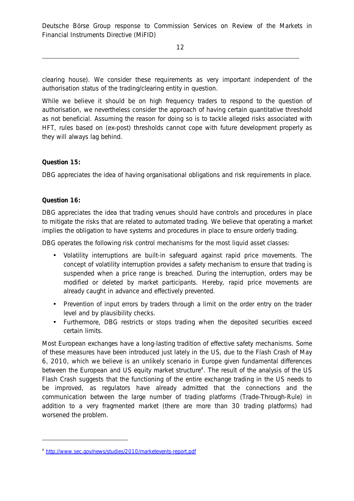clearing house). We consider these requirements as very important independent of the authorisation status of the trading/clearing entity in question.

While we believe it should be on high frequency traders to respond to the question of authorisation, we nevertheless consider the approach of having certain quantitative threshold as not beneficial. Assuming the reason for doing so is to tackle alleged risks associated with HFT, rules based on (ex-post) thresholds cannot cope with future development properly as they will always lag behind.

## **Question 15:**

DBG appreciates the idea of having organisational obligations and risk requirements in place.

## **Question 16:**

j

DBG appreciates the idea that trading venues should have controls and procedures in place to mitigate the risks that are related to automated trading. We believe that operating a market implies the obligation to have systems and procedures in place to ensure orderly trading.

DBG operates the following risk control mechanisms for the most liquid asset classes:

- Volatility interruptions are built-in safeguard against rapid price movements. The concept of volatility interruption provides a safety mechanism to ensure that trading is suspended when a price range is breached. During the interruption, orders may be modified or deleted by market participants. Hereby, rapid price movements are already caught in advance and effectively prevented.
- Prevention of input errors by traders through a limit on the order entry on the trader level and by plausibility checks.
- Furthermore, DBG restricts or stops trading when the deposited securities exceed certain limits.

Most European exchanges have a long-lasting tradition of effective safety mechanisms. Some of these measures have been introduced just lately in the US, due to the Flash Crash of May 6, 2010, which we believe is an unlikely scenario in Europe given fundamental differences between the European and US equity market structure<sup>4</sup>. The result of the analysis of the US Flash Crash suggests that the functioning of the entire exchange trading in the US needs to be improved, as regulators have already admitted that the connections and the communication between the large number of trading platforms (Trade-Through-Rule) in addition to a very fragmented market (there are more than 30 trading platforms) had worsened the problem.

<sup>4</sup> <http://www.sec.gov/news/studies/2010/marketevents-report.pdf>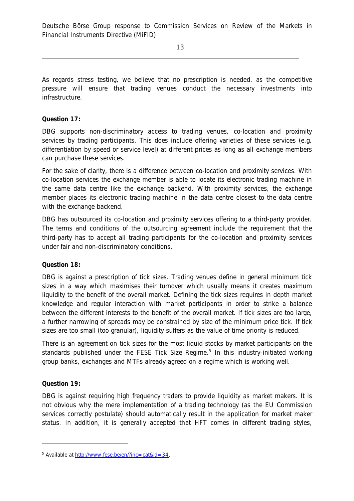As regards stress testing, we believe that no prescription is needed, as the competitive pressure will ensure that trading venues conduct the necessary investments into infrastructure.

### **Question 17:**

DBG supports non-discriminatory access to trading venues, co-location and proximity services by trading participants. This does include offering varieties of these services (e.g. differentiation by speed or service level) at different prices as long as all exchange members can purchase these services.

For the sake of clarity, there is a difference between co-location and proximity services. With co-location services the exchange member is able to locate its electronic trading machine in the same data centre like the exchange backend. With proximity services, the exchange member places its electronic trading machine in the data centre closest to the data centre with the exchange backend.

DBG has outsourced its co-location and proximity services offering to a third-party provider. The terms and conditions of the outsourcing agreement include the requirement that the third-party has to accept all trading participants for the co-location and proximity services under fair and non-discriminatory conditions.

**Question 18:** 

DBG is against a prescription of tick sizes. Trading venues define in general minimum tick sizes in a way which maximises their turnover which usually means it creates maximum liquidity to the benefit of the overall market. Defining the tick sizes requires in depth market knowledge and regular interaction with market participants in order to strike a balance between the different interests to the benefit of the overall market. If tick sizes are too large, a further narrowing of spreads may be constrained by size of the minimum price tick. If tick sizes are too small (too granular), liquidity suffers as the value of time priority is reduced.

There is an agreement on tick sizes for the most liquid stocks by market participants on the standards published under the FESE Tick Size Regime.<sup>5</sup> In this industry-initiated working group banks, exchanges and MTFs already agreed on a regime which is working well.

#### **Question 19:**

j

DBG is against requiring high frequency traders to provide liquidity as market makers. It is not obvious why the mere implementation of a trading technology (as the EU Commission services correctly postulate) should automatically result in the application for market maker status. In addition, it is generally accepted that HFT comes in different trading styles,

<sup>&</sup>lt;sup>5</sup> Available at [http://www.fese.be/en/?inc=cat&id=34.](http://www.fese.be/en/?inc=cat&id=34)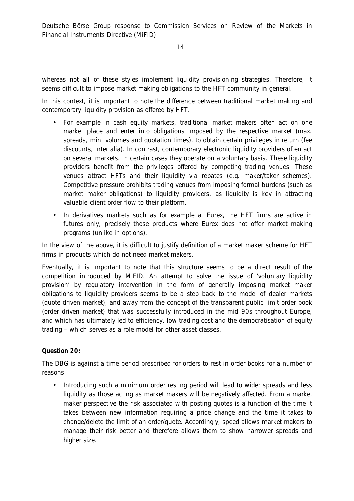whereas not all of these styles implement liquidity provisioning strategies. Therefore, it seems difficult to impose market making obligations to the HFT community in general.

In this context, it is important to note the difference between traditional market making and contemporary liquidity provision as offered by HFT.

- For example in cash equity markets, traditional market makers often act on one market place and enter into obligations imposed by the respective market (max. spreads, min. volumes and quotation times), to obtain certain privileges in return (fee discounts, inter alia). In contrast, contemporary electronic liquidity providers often act on several markets. In certain cases they operate on a voluntary basis. These liquidity providers benefit from the privileges offered by competing trading venues. These venues attract HFTs and their liquidity via rebates (e.g. maker/taker schemes). Competitive pressure prohibits trading venues from imposing formal burdens (such as market maker obligations) to liquidity providers, as liquidity is key in attracting valuable client order flow to their platform.
- In derivatives markets such as for example at Eurex, the HFT firms are active in futures only, precisely those products where Eurex does not offer market making programs (unlike in options).

In the view of the above, it is difficult to justify definition of a market maker scheme for HFT firms in products which do not need market makers.

Eventually, it is important to note that this structure seems to be a direct result of the competition introduced by MiFID. An attempt to solve the issue of 'voluntary liquidity provision' by regulatory intervention in the form of generally imposing market maker obligations to liquidity providers seems to be a step back to the model of dealer markets (quote driven market), and away from the concept of the transparent public limit order book (order driven market) that was successfully introduced in the mid 90s throughout Europe, and which has ultimately led to efficiency, low trading cost and the democratisation of equity trading – which serves as a role model for other asset classes.

## **Question 20:**

The DBG is against a time period prescribed for orders to rest in order books for a number of reasons:

• Introducing such a minimum order resting period will lead to wider spreads and less liquidity as those acting as market makers will be negatively affected. From a market maker perspective the risk associated with posting quotes is a function of the time it takes between new information requiring a price change and the time it takes to change/delete the limit of an order/quote. Accordingly, speed allows market makers to manage their risk better and therefore allows them to show narrower spreads and higher size.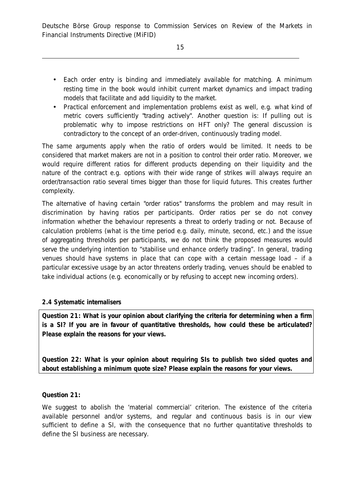- Each order entry is binding and immediately available for matching. A minimum resting time in the book would inhibit current market dynamics and impact trading models that facilitate and add liquidity to the market.
- Practical enforcement and implementation problems exist as well, e.g. what kind of metric covers sufficiently "trading actively". Another question is: If pulling out is problematic why to impose restrictions on HFT only? The general discussion is contradictory to the concept of an order-driven, continuously trading model.

The same arguments apply when the ratio of orders would be limited. It needs to be considered that market makers are not in a position to control their order ratio. Moreover, we would require different ratios for different products depending on their liquidity and the nature of the contract e.g. options with their wide range of strikes will always require an order/transaction ratio several times bigger than those for liquid futures. This creates further complexity.

The alternative of having certain "order ratios" transforms the problem and may result in discrimination by having ratios per participants. Order ratios per se do not convey information whether the behaviour represents a threat to orderly trading or not. Because of calculation problems (what is the time period e.g. daily, minute, second, etc.) and the issue of aggregating thresholds per participants, we do not think the proposed measures would serve the underlying intention to "stabilise und enhance orderly trading". In general, trading venues should have systems in place that can cope with a certain message load – if a particular excessive usage by an actor threatens orderly trading, venues should be enabled to take individual actions (e.g. economically or by refusing to accept new incoming orders).

# *2.4 Systematic internalisers*

**Question 21: What is your opinion about clarifying the criteria for determining when a firm is a SI? If you are in favour of quantitative thresholds, how could these be articulated? Please explain the reasons for your views.** 

**Question 22: What is your opinion about requiring SIs to publish two sided quotes and about establishing a minimum quote size? Please explain the reasons for your views.** 

**Question 21:** 

We suggest to abolish the 'material commercial' criterion. The existence of the criteria available personnel and/or systems, and regular and continuous basis is in our view sufficient to define a SI, with the consequence that no further quantitative thresholds to define the SI business are necessary.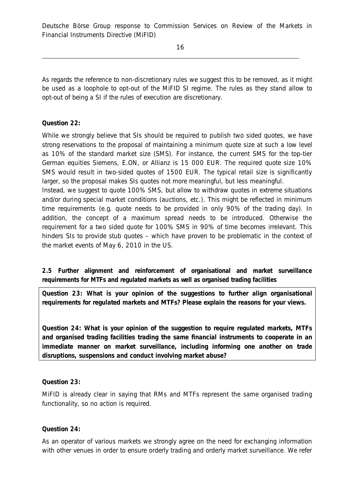As regards the reference to non-discretionary rules we suggest this to be removed, as it might be used as a loophole to opt-out of the MiFID SI regime. The rules as they stand allow to opt-out of being a SI if the rules of execution are discretionary.

**Question 22:** 

While we strongly believe that SIs should be required to publish two sided quotes, we have strong reservations to the proposal of maintaining a minimum quote size at such a low level as 10% of the standard market size (SMS). For instance, the current SMS for the top-tier German equities Siemens, E.ON, or Allianz is 15 000 EUR. The required quote size 10% SMS would result in two-sided quotes of 1500 EUR. The typical retail size is significantly larger, so the proposal makes SIs quotes not more meaningful, but less meaningful.

Instead, we suggest to quote 100% SMS, but allow to withdraw quotes in extreme situations and/or during special market conditions (auctions, etc.). This might be reflected in minimum time requirements (e.g. quote needs to be provided in only 90% of the trading day). In addition, the concept of a maximum spread needs to be introduced. Otherwise the requirement for a two sided quote for 100% SMS in 90% of time becomes irrelevant. This hinders SIs to provide stub quotes – which have proven to be problematic in the context of the market events of May 6, 2010 in the US.

*2.5 Further alignment and reinforcement of organisational and market surveillance requirements for MTFs and regulated markets as well as organised trading facilities* 

**Question 23: What is your opinion of the suggestions to further align organisational requirements for regulated markets and MTFs? Please explain the reasons for your views.** 

**Question 24: What is your opinion of the suggestion to require regulated markets, MTFs and organised trading facilities trading the same financial instruments to cooperate in an immediate manner on market surveillance, including informing one another on trade disruptions, suspensions and conduct involving market abuse?** 

**Question 23:** 

MiFID is already clear in saying that RMs and MTFs represent the same organised trading functionality, so no action is required.

**Question 24:** 

As an operator of various markets we strongly agree on the need for exchanging information with other venues in order to ensure orderly trading and orderly market surveillance. We refer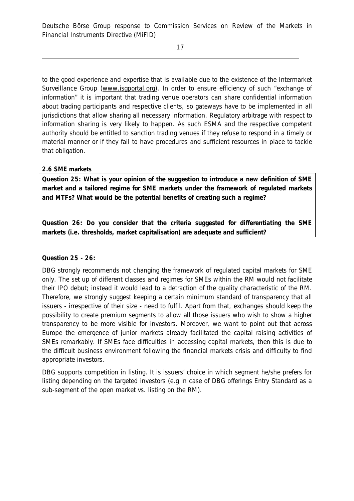to the good experience and expertise that is available due to the existence of the Intermarket Surveillance Group ([www.isgportal.org\)](http://www.isgportal.org)). In order to ensure efficiency of such "exchange of information" it is important that trading venue operators can share confidential information about trading participants and respective clients, so gateways have to be implemented in all jurisdictions that allow sharing all necessary information. Regulatory arbitrage with respect to information sharing is very likely to happen. As such ESMA and the respective competent authority should be entitled to sanction trading venues if they refuse to respond in a timely or material manner or if they fail to have procedures and sufficient resources in place to tackle that obligation.

## *2.6 SME markets*

**Question 25: What is your opinion of the suggestion to introduce a new definition of SME market and a tailored regime for SME markets under the framework of regulated markets and MTFs? What would be the potential benefits of creating such a regime?** 

**Question 26: Do you consider that the criteria suggested for differentiating the SME markets (i.e. thresholds, market capitalisation) are adequate and sufficient?** 

# **Question 25 - 26:**

DBG strongly recommends not changing the framework of regulated capital markets for SME only. The set up of different classes and regimes for SMEs within the RM would not facilitate their IPO debut; instead it would lead to a detraction of the quality characteristic of the RM. Therefore, we strongly suggest keeping a certain minimum standard of transparency that all issuers - irrespective of their size - need to fulfil. Apart from that, exchanges should keep the possibility to create premium segments to allow all those issuers who wish to show a higher transparency to be more visible for investors. Moreover, we want to point out that across Europe the emergence of junior markets already facilitated the capital raising activities of SMEs remarkably. If SMEs face difficulties in accessing capital markets, then this is due to the difficult business environment following the financial markets crisis and difficulty to find appropriate investors.

DBG supports competition in listing. It is issuers' choice in which segment he/she prefers for listing depending on the targeted investors (e.g in case of DBG offerings Entry Standard as a sub-segment of the open market vs. listing on the RM).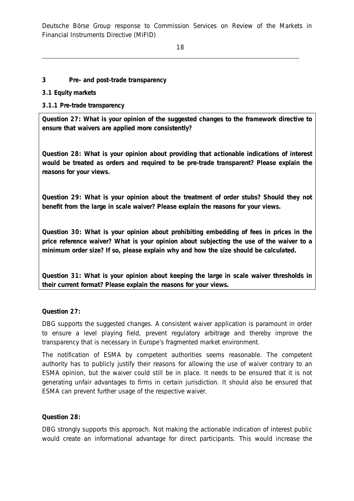18

### **3 Pre- and post-trade transparency**

### *3.1 Equity markets*

## *3.1.1 Pre-trade transparency*

**Question 27: What is your opinion of the suggested changes to the framework directive to ensure that waivers are applied more consistently?** 

**Question 28: What is your opinion about providing that actionable indications of interest would be treated as orders and required to be pre-trade transparent? Please explain the reasons for your views.** 

**Question 29: What is your opinion about the treatment of order stubs? Should they not benefit from the large in scale waiver? Please explain the reasons for your views.** 

**Question 30: What is your opinion about prohibiting embedding of fees in prices in the price reference waiver? What is your opinion about subjecting the use of the waiver to a minimum order size? If so, please explain why and how the size should be calculated.** 

**Question 31: What is your opinion about keeping the large in scale waiver thresholds in their current format? Please explain the reasons for your views.** 

#### **Question 27:**

DBG supports the suggested changes. A consistent waiver application is paramount in order to ensure a level playing field, prevent regulatory arbitrage and thereby improve the transparency that is necessary in Europe's fragmented market environment.

The notification of ESMA by competent authorities seems reasonable. The competent authority has to publicly justify their reasons for allowing the use of waiver contrary to an ESMA opinion, but the waiver could still be in place. It needs to be ensured that it is not generating unfair advantages to firms in certain jurisdiction. It should also be ensured that ESMA can prevent further usage of the respective waiver.

#### **Question 28:**

DBG strongly supports this approach. Not making the actionable indication of interest public would create an informational advantage for direct participants. This would increase the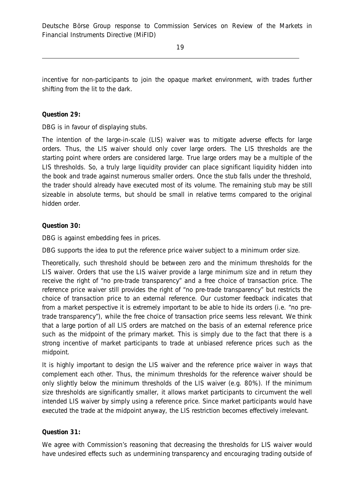incentive for non-participants to join the opaque market environment, with trades further shifting from the lit to the dark.

**Question 29:** 

DBG is in favour of displaying stubs.

The intention of the large-in-scale (LIS) waiver was to mitigate adverse effects for large orders. Thus, the LIS waiver should only cover large orders. The LIS thresholds are the starting point where orders are considered large. True large orders may be a multiple of the LIS thresholds. So, a truly large liquidity provider can place significant liquidity hidden into the book and trade against numerous smaller orders. Once the stub falls under the threshold, the trader should already have executed most of its volume. The remaining stub may be still sizeable in absolute terms, but should be small in relative terms compared to the original hidden order.

**Question 30:** 

DBG is against embedding fees in prices.

DBG supports the idea to put the reference price waiver subject to a minimum order size.

Theoretically, such threshold should be between zero and the minimum thresholds for the LIS waiver. Orders that use the LIS waiver provide a large minimum size and in return they receive the right of "no pre-trade transparency" and a free choice of transaction price. The reference price waiver still provides the right of "no pre-trade transparency" but restricts the choice of transaction price to an external reference. Our customer feedback indicates that from a market perspective it is extremely important to be able to hide its orders (i.e. "no pretrade transparency"), while the free choice of transaction price seems less relevant. We think that a large portion of all LIS orders are matched on the basis of an external reference price such as the midpoint of the primary market. This is simply due to the fact that there is a strong incentive of market participants to trade at unbiased reference prices such as the midpoint.

It is highly important to design the LIS waiver and the reference price waiver in ways that complement each other. Thus, the minimum thresholds for the reference waiver should be only slightly below the minimum thresholds of the LIS waiver (e.g. 80%). If the minimum size thresholds are significantly smaller, it allows market participants to circumvent the well intended LIS waiver by simply using a reference price. Since market participants would have executed the trade at the midpoint anyway, the LIS restriction becomes effectively irrelevant.

#### **Question 31:**

We agree with Commission's reasoning that decreasing the thresholds for LIS waiver would have undesired effects such as undermining transparency and encouraging trading outside of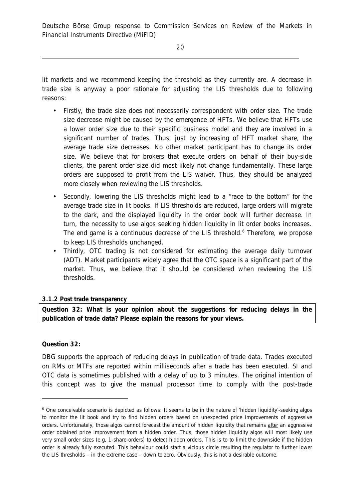lit markets and we recommend keeping the threshold as they currently are. A decrease in trade size is anyway a poor rationale for adjusting the LIS thresholds due to following reasons:

- Firstly, the trade size does not necessarily correspondent with order size. The trade size decrease might be caused by the emergence of HFTs. We believe that HFTs use a lower order size due to their specific business model and they are involved in a significant number of trades. Thus, just by increasing of HFT market share, the average trade size decreases. No other market participant has to change its order size. We believe that for brokers that execute orders on behalf of their buy-side clients, the parent order size did most likely not change fundamentally. These large orders are supposed to profit from the LIS waiver. Thus, they should be analyzed more closely when reviewing the LIS thresholds.
- Secondly, lowering the LIS thresholds might lead to a "race to the bottom" for the average trade size in lit books. If LIS thresholds are reduced, large orders will migrate to the dark, and the displayed liquidity in the order book will further decrease. In turn, the necessity to use algos seeking hidden liquidity in lit order books increases. The end game is a continuous decrease of the LIS threshold.<sup>6</sup> Therefore, we propose to keep LIS thresholds unchanged.
- Thirdly, OTC trading is not considered for estimating the average daily turnover (ADT). Market participants widely agree that the OTC space is a significant part of the market. Thus, we believe that it should be considered when reviewing the LIS thresholds.

## *3.1.2 Post trade transparency*

**Question 32: What is your opinion about the suggestions for reducing delays in the publication of trade data? Please explain the reasons for your views.** 

#### **Question 32:**

j

DBG supports the approach of reducing delays in publication of trade data. Trades executed on RMs or MTFs are reported within milliseconds after a trade has been executed. SI and OTC data is sometimes published with a delay of up to 3 minutes. The original intention of this concept was to give the manual processor time to comply with the post-trade

<sup>6</sup> One conceivable scenario is depicted as follows: It seems to be in the nature of 'hidden liquidity'-seeking algos to monitor the lit book and try to find hidden orders based on unexpected price improvements of aggressive orders. Unfortunately, those algos cannot forecast the amount of hidden liquidity that remains after an aggressive order obtained price improvement from a hidden order. Thus, those hidden liquidity algos will most likely use very small order sizes (e.g, 1-share-orders) to detect hidden orders. This is to to limit the downside if the hidden order is already fully executed. This behaviour could start a vicious circle resulting the regulator to further lower the LIS thresholds – in the extreme case – down to zero. Obviously, this is not a desirable outcome.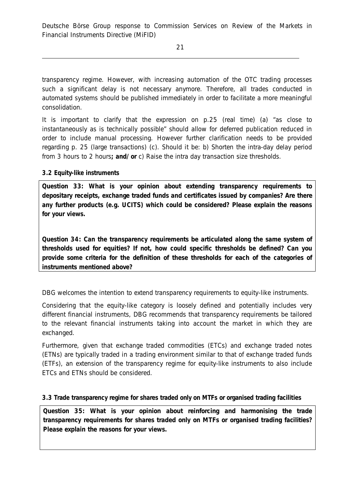transparency regime. However, with increasing automation of the OTC trading processes such a significant delay is not necessary anymore. Therefore, all trades conducted in automated systems should be published immediately in order to facilitate a more meaningful consolidation.

It is important to clarify that the expression on p.25 (real time) (a) "as close to instantaneously as is technically possible" should allow for deferred publication reduced in order to include manual processing. However further clarification needs to be provided regarding p. 25 (large transactions) (c). Should it be: b) Shorten the intra-day delay period from 3 hours to 2 hours**; and/ or** c) Raise the intra day transaction size thresholds.

# *3.2 Equity-like instruments*

**Question 33: What is your opinion about extending transparency requirements to depositary receipts, exchange traded funds and certificates issued by companies? Are there any further products (e.g. UCITS) which could be considered? Please explain the reasons for your views.** 

**Question 34: Can the transparency requirements be articulated along the same system of thresholds used for equities? If not, how could specific thresholds be defined? Can you provide some criteria for the definition of these thresholds for each of the categories of instruments mentioned above?** 

DBG welcomes the intention to extend transparency requirements to equity-like instruments.

Considering that the equity-like category is loosely defined and potentially includes very different financial instruments, DBG recommends that transparency requirements be tailored to the relevant financial instruments taking into account the market in which they are exchanged.

Furthermore, given that exchange traded commodities (ETCs) and exchange traded notes (ETNs) are typically traded in a trading environment similar to that of exchange traded funds (ETFs), an extension of the transparency regime for equity-like instruments to also include ETCs and ETNs should be considered.

# *3.3 Trade transparency regime for shares traded only on MTFs or organised trading facilities*

**Question 35: What is your opinion about reinforcing and harmonising the trade transparency requirements for shares traded only on MTFs or organised trading facilities? Please explain the reasons for your views.**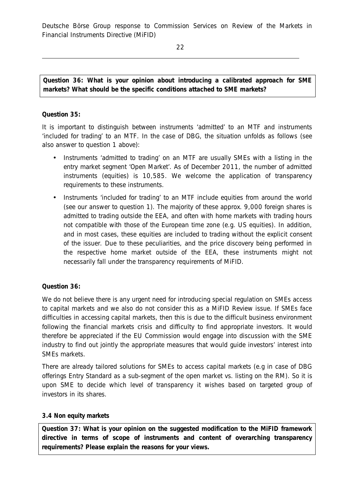22

**Question 36: What is your opinion about introducing a calibrated approach for SME markets? What should be the specific conditions attached to SME markets?** 

## **Question 35:**

It is important to distinguish between instruments 'admitted' to an MTF and instruments 'included for trading' to an MTF. In the case of DBG, the situation unfolds as follows (see also answer to question 1 above):

- Instruments 'admitted to trading' on an MTF are usually SMEs with a listing in the entry market segment 'Open Market'. As of December 2011, the number of admitted instruments (equities) is 10,585. We welcome the application of transparency requirements to these instruments.
- Instruments 'included for trading' to an MTF include equities from around the world (see our answer to question 1). The majority of these approx. 9,000 foreign shares is admitted to trading outside the EEA, and often with home markets with trading hours not compatible with those of the European time zone (e.g. US equities). In addition, and in most cases, these equities are included to trading without the explicit consent of the issuer. Due to these peculiarities, and the price discovery being performed in the respective home market outside of the EEA, these instruments might not necessarily fall under the transparency requirements of MiFID.

## **Question 36:**

We do not believe there is any urgent need for introducing special regulation on SMEs access to capital markets and we also do not consider this as a MiFID Review issue. If SMEs face difficulties in accessing capital markets, then this is due to the difficult business environment following the financial markets crisis and difficulty to find appropriate investors. It would therefore be appreciated if the EU Commission would engage into discussion with the SME industry to find out jointly the appropriate measures that would guide investors' interest into SMEs markets.

There are already tailored solutions for SMEs to access capital markets (e.g in case of DBG offerings Entry Standard as a sub-segment of the open market vs. listing on the RM). So it is upon SME to decide which level of transparency it wishes based on targeted group of investors in its shares.

#### *3.4 Non equity markets*

**Question 37: What is your opinion on the suggested modification to the MiFID framework directive in terms of scope of instruments and content of overarching transparency requirements? Please explain the reasons for your views.**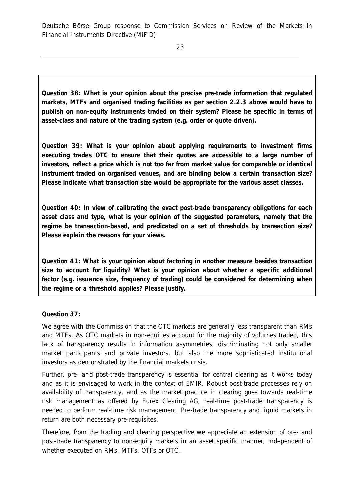23

**Question 38: What is your opinion about the precise pre-trade information that regulated markets, MTFs and organised trading facilities as per section 2.2.3 above would have to publish on non-equity instruments traded on their system? Please be specific in terms of asset-class and nature of the trading system (e.g. order or quote driven).** 

**Question 39: What is your opinion about applying requirements to investment firms executing trades OTC to ensure that their quotes are accessible to a large number of investors, reflect a price which is not too far from market value for comparable or identical instrument traded on organised venues, and are binding below a certain transaction size? Please indicate what transaction size would be appropriate for the various asset classes.** 

**Question 40: In view of calibrating the exact post-trade transparency obligations for each asset class and type, what is your opinion of the suggested parameters, namely that the regime be transaction-based, and predicated on a set of thresholds by transaction size? Please explain the reasons for your views.** 

**Question 41: What is your opinion about factoring in another measure besides transaction size to account for liquidity? What is your opinion about whether a specific additional factor (e.g. issuance size, frequency of trading) could be considered for determining when the regime or a threshold applies? Please justify.** 

**Question 37:** 

We agree with the Commission that the OTC markets are generally less transparent than RMs and MTFs. As OTC markets in non-equities account for the majority of volumes traded, this lack of transparency results in information asymmetries, discriminating not only smaller market participants and private investors, but also the more sophisticated institutional investors as demonstrated by the financial markets crisis.

Further, pre- and post-trade transparency is essential for central clearing as it works today and as it is envisaged to work in the context of EMIR. Robust post-trade processes rely on availability of transparency, and as the market practice in clearing goes towards real-time risk management as offered by Eurex Clearing AG, real-time post-trade transparency is needed to perform real-time risk management. Pre-trade transparency and liquid markets in return are both necessary pre-requisites.

Therefore, from the trading and clearing perspective we appreciate an extension of pre- and post-trade transparency to non-equity markets in an asset specific manner, independent of whether executed on RMs, MTFs, OTFs or OTC.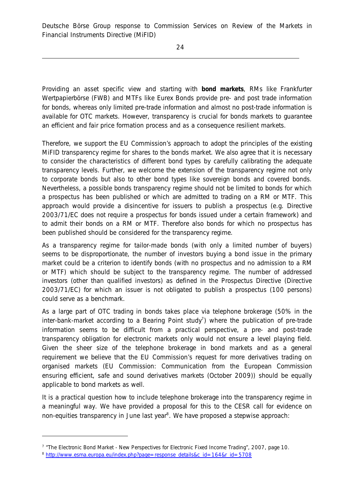Providing an asset specific view and starting with **bond markets**, RMs like Frankfurter Wertpapierbörse (FWB) and MTFs like Eurex Bonds provide pre- and post trade information for bonds, whereas only limited pre-trade information and almost no post-trade information is available for OTC markets. However, transparency is crucial for bonds markets to guarantee an efficient and fair price formation process and as a consequence resilient markets.

Therefore, we support the EU Commission's approach to adopt the principles of the existing MiFID transparency regime for shares to the bonds market. We also agree that it is necessary to consider the characteristics of different bond types by carefully calibrating the adequate transparency levels. Further, we welcome the extension of the transparency regime not only to corporate bonds but also to other bond types like sovereign bonds and covered bonds. Nevertheless, a possible bonds transparency regime should not be limited to bonds for which a prospectus has been published or which are admitted to trading on a RM or MTF. This approach would provide a disincentive for issuers to publish a prospectus (e.g. Directive 2003/71/EC does not require a prospectus for bonds issued under a certain framework) and to admit their bonds on a RM or MTF. Therefore also bonds for which no prospectus has been published should be considered for the transparency regime.

As a transparency regime for tailor-made bonds (with only a limited number of buyers) seems to be disproportionate, the number of investors buying a bond issue in the primary market could be a criterion to identify bonds (with no prospectus and no admission to a RM or MTF) which should be subject to the transparency regime. The number of addressed investors (other than qualified investors) as defined in the Prospectus Directive (Directive 2003/71/EC) for which an issuer is not obligated to publish a prospectus (100 persons) could serve as a benchmark.

As a large part of OTC trading in bonds takes place via telephone brokerage (50% in the inter-bank-market according to a Bearing Point study<sup>7</sup>) where the publication of pre-trade information seems to be difficult from a practical perspective, a pre- and post-trade transparency obligation for electronic markets only would not ensure a level playing field. Given the sheer size of the telephone brokerage in bond markets and as a general requirement we believe that the EU Commission's request for more derivatives trading on organised markets (EU Commission: Communication from the European Commission ensuring efficient, safe and sound derivatives markets (October 2009)) should be equally applicable to bond markets as well.

It is a practical question how to include telephone brokerage into the transparency regime in a meaningful way. We have provided a proposal for this to the CESR call for evidence on non-equities transparency in June last year<sup>8</sup>. We have proposed a stepwise approach:

j

<sup>&</sup>lt;sup>7</sup> "The Electronic Bond Market - New Perspectives for Electronic Fixed Income Trading", 2007, page 10.

<sup>8</sup> [http://www.esma.europa.eu/index.php?page=response\\_details&c\\_id=164&r\\_id=5708](http://www.esma.europa.eu/index.php?page=response_details&c_id=164&r_id=5708)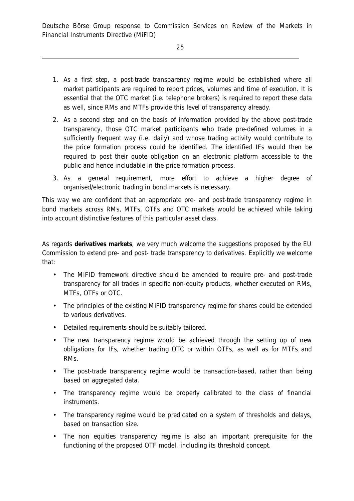- 1. As a first step, a post-trade transparency regime would be established where all market participants are required to report prices, volumes and time of execution. It is essential that the OTC market (i.e. telephone brokers) is required to report these data as well, since RMs and MTFs provide this level of transparency already.
- 2. As a second step and on the basis of information provided by the above post-trade transparency, those OTC market participants who trade pre-defined volumes in a sufficiently frequent way (i.e. daily) and whose trading activity would contribute to the price formation process could be identified. The identified IFs would then be required to post their quote obligation on an electronic platform accessible to the public and hence includable in the price formation process.
- 3. As a general requirement, more effort to achieve a higher degree of organised/electronic trading in bond markets is necessary.

This way we are confident that an appropriate pre- and post-trade transparency regime in bond markets across RMs, MTFs, OTFs and OTC markets would be achieved while taking into account distinctive features of this particular asset class.

As regards **derivatives markets**, we very much welcome the suggestions proposed by the EU Commission to extend pre- and post- trade transparency to derivatives. Explicitly we welcome that:

- The MiFID framework directive should be amended to require pre- and post-trade transparency for all trades in specific non-equity products, whether executed on RMs, MTFs, OTFs or OTC.
- The principles of the existing MiFID transparency regime for shares could be extended to various derivatives.
- Detailed requirements should be suitably tailored.
- The new transparency regime would be achieved through the setting up of new obligations for IFs, whether trading OTC or within OTFs, as well as for MTFs and RMs.
- The post-trade transparency regime would be transaction-based, rather than being based on aggregated data.
- The transparency regime would be properly calibrated to the class of financial instruments.
- The transparency regime would be predicated on a system of thresholds and delays, based on transaction size.
- The non equities transparency regime is also an important prerequisite for the functioning of the proposed OTF model, including its threshold concept.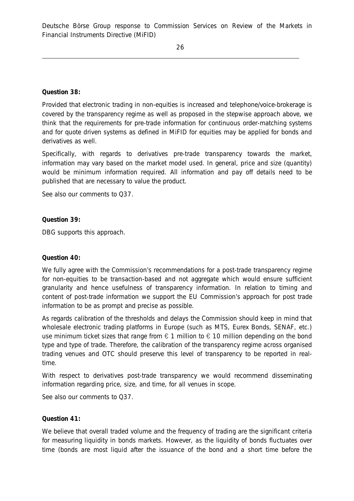**Question 38:** 

Provided that electronic trading in non-equities is increased and telephone/voice-brokerage is covered by the transparency regime as well as proposed in the stepwise approach above, we think that the requirements for pre-trade information for continuous order-matching systems and for quote driven systems as defined in MiFID for equities may be applied for bonds and derivatives as well.

Specifically, with regards to derivatives pre-trade transparency towards the market, information may vary based on the market model used. In general, price and size (quantity) would be minimum information required. All information and pay off details need to be published that are necessary to value the product.

See also our comments to Q37.

**Question 39:** 

DBG supports this approach.

#### **Question 40:**

We fully agree with the Commission's recommendations for a post-trade transparency regime for non-equities to be transaction-based and not aggregate which would ensure sufficient granularity and hence usefulness of transparency information. In relation to timing and content of post-trade information we support the EU Commission's approach for post trade information to be as prompt and precise as possible.

As regards calibration of the thresholds and delays the Commission should keep in mind that wholesale electronic trading platforms in Europe (such as MTS, Eurex Bonds, SENAF, etc.) use minimum ticket sizes that range from  $\epsilon$  1 million to  $\epsilon$  10 million depending on the bond type and type of trade. Therefore, the calibration of the transparency regime across organised trading venues and OTC should preserve this level of transparency to be reported in realtime.

With respect to derivatives post-trade transparency we would recommend disseminating information regarding price, size, and time, for all venues in scope.

See also our comments to Q37.

#### **Question 41:**

We believe that overall traded volume and the frequency of trading are the significant criteria for measuring liquidity in bonds markets. However, as the liquidity of bonds fluctuates over time (bonds are most liquid after the issuance of the bond and a short time before the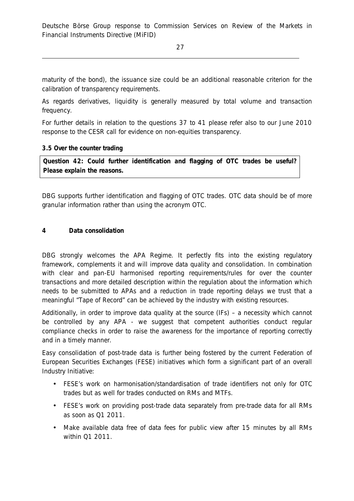27

maturity of the bond), the issuance size could be an additional reasonable criterion for the calibration of transparency requirements.

As regards derivatives, liquidity is generally measured by total volume and transaction frequency.

For further details in relation to the questions 37 to 41 please refer also to our June 2010 response to the CESR call for evidence on non-equities transparency.

#### *3.5 Over the counter trading*

**Question 42: Could further identification and flagging of OTC trades be useful? Please explain the reasons.**

DBG supports further identification and flagging of OTC trades. OTC data should be of more granular information rather than using the acronym OTC.

### **4 Data consolidation**

DBG strongly welcomes the APA Regime. It perfectly fits into the existing regulatory framework, complements it and will improve data quality and consolidation. In combination with clear and pan-EU harmonised reporting requirements/rules for over the counter transactions and more detailed description within the regulation about the information which needs to be submitted to APAs and a reduction in trade reporting delays we trust that a meaningful "Tape of Record" can be achieved by the industry with existing resources.

Additionally, in order to improve data quality at the source (IFs) – a necessity which cannot be controlled by any APA - we suggest that competent authorities conduct regular compliance checks in order to raise the awareness for the importance of reporting correctly and in a timely manner.

Easy consolidation of post-trade data is further being fostered by the current Federation of European Securities Exchanges (FESE) initiatives which form a significant part of an overall Industry Initiative:

- FESE's work on harmonisation/standardisation of trade identifiers not only for OTC trades but as well for trades conducted on RMs and MTFs.
- FESE's work on providing post-trade data separately from pre-trade data for all RMs as soon as Q1 2011.
- Make available data free of data fees for public view after 15 minutes by all RMs within Q1 2011.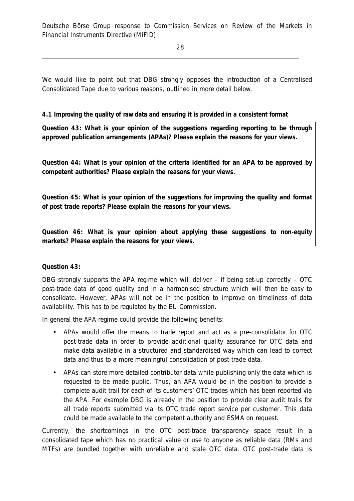28

We would like to point out that DBG strongly opposes the introduction of a Centralised Consolidated Tape due to various reasons, outlined in more detail below.

# *4.1 Improving the quality of raw data and ensuring it is provided in a consistent format*

**Question 43: What is your opinion of the suggestions regarding reporting to be through approved publication arrangements (APAs)? Please explain the reasons for your views.** 

**Question 44: What is your opinion of the criteria identified for an APA to be approved by competent authorities? Please explain the reasons for your views.** 

**Question 45: What is your opinion of the suggestions for improving the quality and format of post trade reports? Please explain the reasons for your views.** 

**Question 46: What is your opinion about applying these suggestions to non-equity markets? Please explain the reasons for your views.** 

## **Question 43:**

DBG strongly supports the APA regime which will deliver – if being set-up correctly – OTC post-trade data of good quality and in a harmonised structure which will then be easy to consolidate. However, APAs will not be in the position to improve on timeliness of data availability. This has to be regulated by the EU Commission.

In general the APA regime could provide the following benefits:

- APAs would offer the means to trade report and act as a pre-consolidator for OTC post-trade data in order to provide additional quality assurance for OTC data and make data available in a structured and standardised way which can lead to correct data and thus to a more meaningful consolidation of post-trade data.
- APAs can store more detailed contributor data while publishing only the data which is requested to be made public. Thus, an APA would be in the position to provide a complete audit trail for each of its customers' OTC trades which has been reported via the APA. For example DBG is already in the position to provide clear audit trails for all trade reports submitted via its OTC trade report service per customer. This data could be made available to the competent authority and ESMA on request.

Currently, the shortcomings in the OTC post-trade transparency space result in a consolidated tape which has no practical value or use to anyone as reliable data (RMs and MTFs) are bundled together with unreliable and stale OTC data. OTC post-trade data is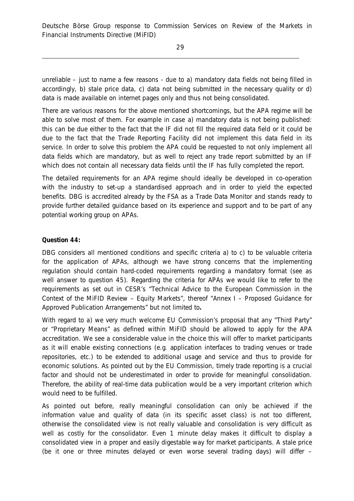unreliable – just to name a few reasons - due to a) mandatory data fields not being filled in accordingly, b) stale price data, c) data not being submitted in the necessary quality or d) data is made available on internet pages only and thus not being consolidated.

There are various reasons for the above mentioned shortcomings, but the APA regime will be able to solve most of them. For example in case a) mandatory data is not being published: this can be due either to the fact that the IF did not fill the required data field or it could be due to the fact that the Trade Reporting Facility did not implement this data field in its service. In order to solve this problem the APA could be requested to not only implement all data fields which are mandatory, but as well to reject any trade report submitted by an IF which does not contain all necessary data fields until the IF has fully completed the report.

The detailed requirements for an APA regime should ideally be developed in co-operation with the industry to set-up a standardised approach and in order to yield the expected benefits. DBG is accredited already by the FSA as a Trade Data Monitor and stands ready to provide further detailed guidance based on its experience and support and to be part of any potential working group on APAs.

### **Question 44:**

DBG considers all mentioned conditions and specific criteria a) to c) to be valuable criteria for the application of APAs, although we have strong concerns that the implementing regulation should contain hard-coded requirements regarding a mandatory format (see as well answer to question 45). Regarding the criteria for APAs we would like to refer to the requirements as set out in CESR's "Technical Advice to the European Commission in the Context of the MiFID Review – Equity Markets", thereof "Annex I – Proposed Guidance for Approved Publication Arrangements" but not limited to**.** 

With regard to a) we very much welcome EU Commission's proposal that any "Third Party" or "Proprietary Means" as defined within MiFID should be allowed to apply for the APA accreditation. We see a considerable value in the choice this will offer to market participants as it will enable existing connections (e.g. application interfaces to trading venues or trade repositories, etc.) to be extended to additional usage and service and thus to provide for economic solutions. As pointed out by the EU Commission, timely trade reporting is a crucial factor and should not be underestimated in order to provide for meaningful consolidation. Therefore, the ability of real-time data publication would be a very important criterion which would need to be fulfilled.

As pointed out before, really meaningful consolidation can only be achieved if the information value and quality of data (in its specific asset class) is not too different, otherwise the consolidated view is not really valuable and consolidation is very difficult as well as costly for the consolidator. Even 1 minute delay makes it difficult to display a consolidated view in a proper and easily digestable way for market participants. A stale price (be it one or three minutes delayed or even worse several trading days) will differ –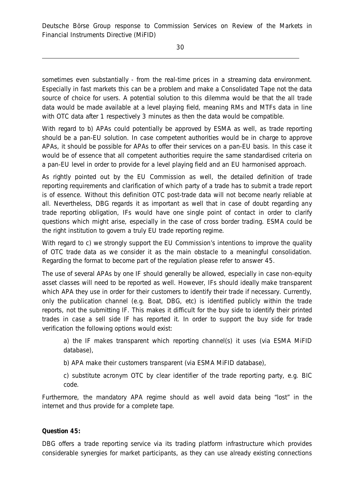sometimes even substantially - from the real-time prices in a streaming data environment. Especially in fast markets this can be a problem and make a Consolidated Tape not the data source of choice for users. A potential solution to this dilemma would be that the all trade data would be made available at a level playing field, meaning RMs and MTFs data in line with OTC data after 1 respectively 3 minutes as then the data would be compatible.

With regard to b) APAs could potentially be approved by ESMA as well, as trade reporting should be a pan-EU solution. In case competent authorities would be in charge to approve APAs, it should be possible for APAs to offer their services on a pan-EU basis. In this case it would be of essence that all competent authorities require the same standardised criteria on a pan-EU level in order to provide for a level playing field and an EU harmonised approach.

As rightly pointed out by the EU Commission as well, the detailed definition of trade reporting requirements and clarification of which party of a trade has to submit a trade report is of essence. Without this definition OTC post-trade data will not become nearly reliable at all. Nevertheless, DBG regards it as important as well that in case of doubt regarding any trade reporting obligation, IFs would have one single point of contact in order to clarify questions which might arise, especially in the case of cross border trading. ESMA could be the right institution to govern a truly EU trade reporting regime.

With regard to c) we strongly support the EU Commission's intentions to improve the quality of OTC trade data as we consider it as the main obstacle to a meaningful consolidation. Regarding the format to become part of the regulation please refer to answer 45.

The use of several APAs by one IF should generally be allowed, especially in case non-equity asset classes will need to be reported as well. However, IFs should ideally make transparent which APA they use in order for their customers to identify their trade if necessary. Currently, only the publication channel (e.g. Boat, DBG, etc) is identified publicly within the trade reports, not the submitting IF. This makes it difficult for the buy side to identify their printed trades in case a sell side IF has reported it. In order to support the buy side for trade verification the following options would exist:

a) the IF makes transparent which reporting channel(s) it uses (via ESMA MiFID database),

b) APA make their customers transparent (via ESMA MiFID database),

c) substitute acronym OTC by clear identifier of the trade reporting party, e.g. BIC code.

Furthermore, the mandatory APA regime should as well avoid data being "lost" in the internet and thus provide for a complete tape.

**Question 45:** 

DBG offers a trade reporting service via its trading platform infrastructure which provides considerable synergies for market participants, as they can use already existing connections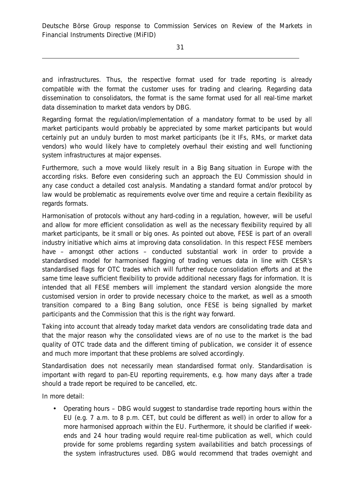and infrastructures. Thus, the respective format used for trade reporting is already compatible with the format the customer uses for trading and clearing. Regarding data dissemination to consolidators, the format is the same format used for all real-time market data dissemination to market data vendors by DBG.

Regarding format the regulation/implementation of a mandatory format to be used by all market participants would probably be appreciated by some market participants but would certainly put an unduly burden to most market participants (be it IFs, RMs, or market data vendors) who would likely have to completely overhaul their existing and well functioning system infrastructures at major expenses.

Furthermore, such a move would likely result in a Big Bang situation in Europe with the according risks. Before even considering such an approach the EU Commission should in any case conduct a detailed cost analysis. Mandating a standard format and/or protocol by law would be problematic as requirements evolve over time and require a certain flexibility as regards formats.

Harmonisation of protocols without any hard-coding in a regulation, however, will be useful and allow for more efficient consolidation as well as the necessary flexibility required by all market participants, be it small or big ones. As pointed out above, FESE is part of an overall industry initiative which aims at improving data consolidation. In this respect FESE members have – amongst other actions – conducted substantial work in order to provide a standardised model for harmonised flagging of trading venues data in line with CESR's standardised flags for OTC trades which will further reduce consolidation efforts and at the same time leave sufficient flexibility to provide additional necessary flags for information. It is intended that all FESE members will implement the standard version alongside the more customised version in order to provide necessary choice to the market, as well as a smooth transition compared to a Bing Bang solution, once FESE is being signalled by market participants and the Commission that this is the right way forward.

Taking into account that already today market data vendors are consolidating trade data and that the major reason why the consolidated views are of no use to the market is the bad quality of OTC trade data and the different timing of publication, we consider it of essence and much more important that these problems are solved accordingly.

Standardisation does not necessarily mean standardised format only. Standardisation is important with regard to pan-EU reporting requirements, e.g. how many days after a trade should a trade report be required to be cancelled, etc.

In more detail:

• Operating hours – DBG would suggest to standardise trade reporting hours within the EU (e.g. 7 a.m. to 8 p.m. CET, but could be different as well) in order to allow for a more harmonised approach within the EU. Furthermore, it should be clarified if weekends and 24 hour trading would require real-time publication as well, which could provide for some problems regarding system availabilities and batch processings of the system infrastructures used. DBG would recommend that trades overnight and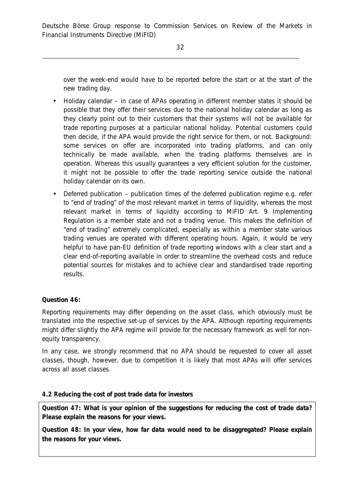over the week-end would have to be reported before the start or at the start of the new trading day.

- Holiday calendar in case of APAs operating in different member states it should be possible that they offer their services due to the national holiday calendar as long as they clearly point out to their customers that their systems will not be available for trade reporting purposes at a particular national holiday. Potential customers could then decide, if the APA would provide the right service for them, or not. Background: some services on offer are incorporated into trading platforms, and can only technically be made available, when the trading platforms themselves are in operation. Whereas this usually guarantees a very efficient solution for the customer, it might not be possible to offer the trade reporting service outside the national holiday calendar on its own.
- Deferred publication publication times of the deferred publication regime e.g. refer to "end of trading" of the most relevant market in terms of liquidity, whereas the most relevant market in terms of liquidity according to MiFID Art. 9 Implementing Regulation is a member state and not a trading venue. This makes the definition of "end of trading" extremely complicated, especially as within a member state various trading venues are operated with different operating hours. Again, it would be very helpful to have pan-EU definition of trade reporting windows with a clear start and a clear end-of-reporting available in order to streamline the overhead costs and reduce potential sources for mistakes and to achieve clear and standardised trade reporting results.

## **Question 46:**

Reporting requirements may differ depending on the asset class, which obviously must be translated into the respective set-up of services by the APA. Although reporting requirements might differ slightly the APA regime will provide for the necessary framework as well for nonequity transparency.

In any case, we strongly recommend that no APA should be requested to cover all asset classes, though, however, due to competition it is likely that most APAs will offer services across all asset classes.

## *4.2 Reducing the cost of post trade data for investors*

**Question 47: What is your opinion of the suggestions for reducing the cost of trade data? Please explain the reasons for your views.** 

**Question 48: In your view, how far data would need to be disaggregated? Please explain the reasons for your views.**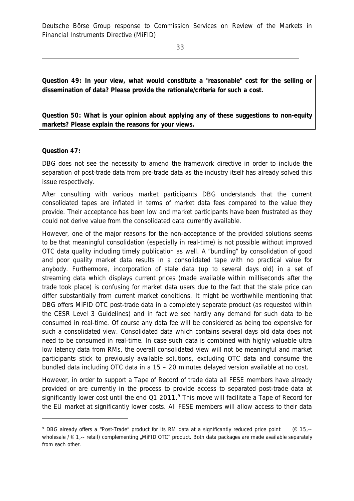33

**Question 49: In your view, what would constitute a "reasonable" cost for the selling or dissemination of data? Please provide the rationale/criteria for such a cost.** 

**Question 50: What is your opinion about applying any of these suggestions to non-equity markets? Please explain the reasons for your views.** 

## **Question 47:**

j

DBG does not see the necessity to amend the framework directive in order to include the separation of post-trade data from pre-trade data as the industry itself has already solved this issue respectively.

After consulting with various market participants DBG understands that the current consolidated tapes are inflated in terms of market data fees compared to the value they provide. Their acceptance has been low and market participants have been frustrated as they could not derive value from the consolidated data currently available.

However, one of the major reasons for the non-acceptance of the provided solutions seems to be that meaningful consolidation (especially in real-time) is not possible without improved OTC data quality including timely publication as well. A "bundling" by consolidation of good and poor quality market data results in a consolidated tape with no practical value for anybody. Furthermore, incorporation of stale data (up to several days old) in a set of streaming data which displays current prices (made available within milliseconds after the trade took place) is confusing for market data users due to the fact that the stale price can differ substantially from current market conditions. It might be worthwhile mentioning that DBG offers MiFID OTC post-trade data in a completely separate product (as requested within the CESR Level 3 Guidelines) and in fact we see hardly any demand for such data to be consumed in real-time. Of course any data fee will be considered as being too expensive for such a consolidated view. Consolidated data which contains several days old data does not need to be consumed in real-time. In case such data is combined with highly valuable ultra low latency data from RMs, the overall consolidated view will not be meaningful and market participants stick to previously available solutions, excluding OTC data and consume the bundled data including OTC data in a 15 – 20 minutes delayed version available at no cost.

However, in order to support a Tape of Record of trade data all FESE members have already provided or are currently in the process to provide access to separated post-trade data at significantly lower cost until the end Q1 2011.<sup>9</sup> This move will facilitate a Tape of Record for the EU market at significantly lower costs. All FESE members will allow access to their data

<sup>9</sup> DBG already offers a "Post-Trade" product for its RM data at a significantly reduced price point (€ 15,- wholesale  $/ \in 1$ ,-- retail) complementing "MiFID OTC" product. Both data packages are made available separately from each other.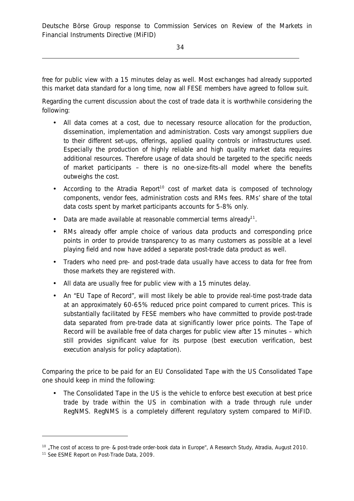free for public view with a 15 minutes delay as well. Most exchanges had already supported this market data standard for a long time, now all FESE members have agreed to follow suit.

Regarding the current discussion about the cost of trade data it is worthwhile considering the following:

- All data comes at a cost, due to necessary resource allocation for the production, dissemination, implementation and administration. Costs vary amongst suppliers due to their different set-ups, offerings, applied quality controls or infrastructures used. Especially the production of highly reliable and high quality market data requires additional resources. Therefore usage of data should be targeted to the specific needs of market participants – there is no one-size-fits-all model where the benefits outweighs the cost.
- According to the Atradia Report<sup>10</sup> cost of market data is composed of technology components, vendor fees, administration costs and RMs fees. RMs' share of the total data costs spent by market participants accounts for 5-8% only.
- Data are made available at reasonable commercial terms already<sup>11</sup>.
- RMs already offer ample choice of various data products and corresponding price points in order to provide transparency to as many customers as possible at a level playing field and now have added a separate post-trade data product as well.
- Traders who need pre- and post-trade data usually have access to data for free from those markets they are registered with.
- All data are usually free for public view with a 15 minutes delay.
- An "EU Tape of Record", will most likely be able to provide real-time post-trade data at an approximately 60-65% reduced price point compared to current prices. This is substantially facilitated by FESE members who have committed to provide post-trade data separated from pre-trade data at significantly lower price points. The Tape of Record will be available free of data charges for public view after 15 minutes – which still provides significant value for its purpose (best execution verification, best execution analysis for policy adaptation).

Comparing the price to be paid for an EU Consolidated Tape with the US Consolidated Tape one should keep in mind the following:

• The Consolidated Tape in the US is the vehicle to enforce best execution at best price trade by trade within the US in combination with a trade through rule under RegNMS. RegNMS is a completely different regulatory system compared to MiFID.

j

<sup>&</sup>lt;sup>10</sup>, The cost of access to pre- & post-trade order-book data in Europe", A Research Study, Atradia, August 2010.

<sup>11</sup> See ESME Report on Post-Trade Data, 2009.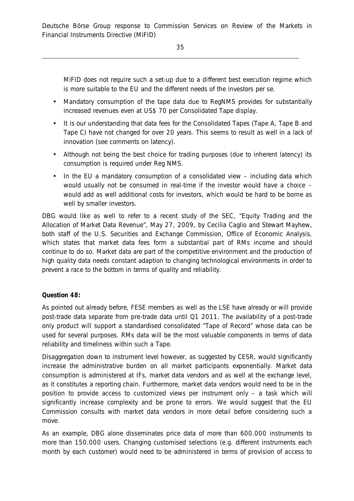MiFID does not require such a set-up due to a different best execution regime which is more suitable to the EU and the different needs of the investors per se.

- Mandatory consumption of the tape data due to RegNMS provides for substantially increased revenues even at US\$ 70 per Consolidated Tape display.
- It is our understanding that data fees for the Consolidated Tapes (Tape A, Tape B and Tape C) have not changed for over 20 years. This seems to result as well in a lack of innovation (see comments on latency).
- Although not being the best choice for trading purposes (due to inherent latency) its consumption is required under Reg NMS.
- In the EU a mandatory consumption of a consolidated view including data which would usually not be consumed in real-time if the investor would have a choice – would add as well additional costs for investors, which would be hard to be borne as well by smaller investors.

DBG would like as well to refer to a recent study of the SEC, "Equity Trading and the Allocation of Market Data Revenue", May 27, 2009, by Cecilia Caglio and Stewart Mayhew, both staff of the U.S. Securities and Exchange Commission, Office of Economic Analysis, which states that market data fees form a substantial part of RMs income and should continue to do so. Market data are part of the competitive environment and the production of high quality data needs constant adaption to changing technological environments in order to prevent a race to the bottom in terms of quality and reliability.

## **Question 48:**

As pointed out already before, FESE members as well as the LSE have already or will provide post-trade data separate from pre-trade data until Q1 2011. The availability of a post-trade only product will support a standardised consolidated "Tape of Record" whose data can be used for several purposes. RMs data will be the most valuable components in terms of data reliability and timeliness within such a Tape.

Disaggregation down to instrument level however, as suggested by CESR, would significantly increase the administrative burden on all market participants exponentially. Market data consumption is administered at IFs, market data vendors and as well at the exchange level, as it constitutes a reporting chain. Furthermore, market data vendors would need to be in the position to provide access to customized views per instrument only – a task which will significantly increase complexity and be prone to errors. We would suggest that the EU Commission consults with market data vendors in more detail before considering such a move.

As an example, DBG alone disseminates price data of more than 600.000 instruments to more than 150.000 users. Changing customised selections (e.g. different instruments each month by each customer) would need to be administered in terms of provision of access to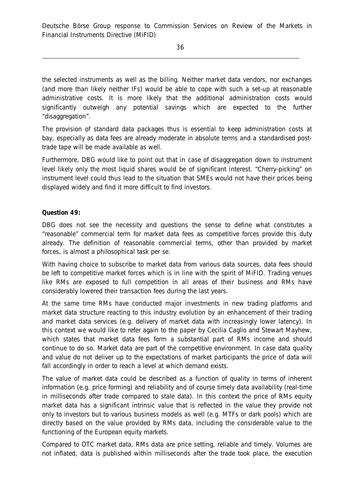the selected instruments as well as the billing. Neither market data vendors, nor exchanges (and more than likely neither IFs) would be able to cope with such a set-up at reasonable administrative costs. It is more likely that the additional administration costs would significantly outweigh any potential savings which are expected to the further "disaggregation".

The provision of standard data packages thus is essential to keep administration costs at bay, especially as data fees are already moderate in absolute terms and a standardised posttrade tape will be made available as well.

Furthermore, DBG would like to point out that in case of disaggregation down to instrument level likely only the most liquid shares would be of significant interest. "Cherry-picking" on instrument level could thus lead to the situation that SMEs would not have their prices being displayed widely and find it more difficult to find investors.

**Question 49:** 

DBG does not see the necessity and questions the sense to define what constitutes a "reasonable" commercial term for market data fees as competitive forces provide this duty already. The definition of reasonable commercial terms, other than provided by market forces, is almost a philosophical task per se.

With having choice to subscribe to market data from various data sources, data fees should be left to competitive market forces which is in line with the spirit of MiFID. Trading venues like RMs are exposed to full competition in all areas of their business and RMs have considerably lowered their transaction fees during the last years.

At the same time RMs have conducted major investments in new trading platforms and market data structure reacting to this industry evolution by an enhancement of their trading and market data services (e.g. delivery of market data with increasingly lower latency). In this context we would like to refer again to the paper by Cecilia Caglio and Stewart Mayhew, which states that market data fees form a substantial part of RMs income and should continue to do so. Market data are part of the competitive environment. In case data quality and value do not deliver up to the expectations of market participants the price of data will fall accordingly in order to reach a level at which demand exists.

The value of market data could be described as a function of quality in terms of inherent information (e.g. price forming) and reliability and of course timely data availability (real-time in milliseconds after trade compared to stale data). In this context the price of RMs equity market data has a significant intrinsic value that is reflected in the value they provide not only to investors but to various business models as well (e.g. MTFs or dark pools) which are directly based on the value provided by RMs data, including the considerable value to the functioning of the European equity markets.

Compared to OTC market data, RMs data are price setting, reliable and timely. Volumes are not inflated, data is published within milliseconds after the trade took place, the execution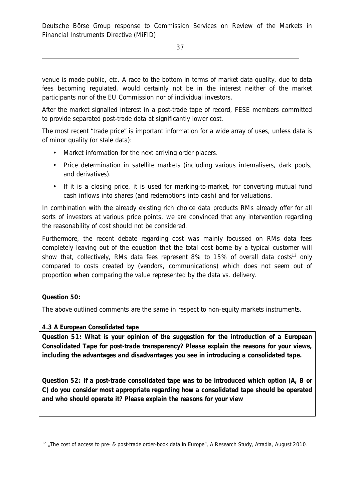venue is made public, etc. A race to the bottom in terms of market data quality, due to data fees becoming regulated, would certainly not be in the interest neither of the market participants nor of the EU Commission nor of individual investors.

After the market signalled interest in a post-trade tape of record, FESE members committed to provide separated post-trade data at significantly lower cost.

The most recent "trade price" is important information for a wide array of uses, unless data is of minor quality (or stale data):

- Market information for the next arriving order placers.
- Price determination in satellite markets (including various internalisers, dark pools, and derivatives).
- If it is a closing price, it is used for marking-to-market, for converting mutual fund cash inflows into shares (and redemptions into cash) and for valuations.

In combination with the already existing rich choice data products RMs already offer for all sorts of investors at various price points, we are convinced that any intervention regarding the reasonability of cost should not be considered.

Furthermore, the recent debate regarding cost was mainly focussed on RMs data fees completely leaving out of the equation that the total cost borne by a typical customer will show that, collectively, RMs data fees represent 8% to 15% of overall data costs<sup>12</sup> only compared to costs created by (vendors, communications) which does not seem out of proportion when comparing the value represented by the data vs. delivery.

## **Question 50:**

 $\overline{a}$ 

The above outlined comments are the same in respect to non-equity markets instruments.

## *4.3 A European Consolidated tape*

**Question 51: What is your opinion of the suggestion for the introduction of a European Consolidated Tape for post-trade transparency? Please explain the reasons for your views, including the advantages and disadvantages you see in introducing a consolidated tape.** 

**Question 52: If a post-trade consolidated tape was to be introduced which option (A, B or C) do you consider most appropriate regarding how a consolidated tape should be operated and who should operate it? Please explain the reasons for your view** 

<sup>&</sup>lt;sup>12</sup> "The cost of access to pre- & post-trade order-book data in Europe", A Research Study, Atradia, August 2010.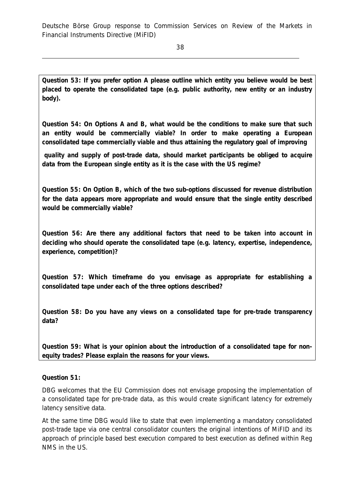**Question 53: If you prefer option A please outline which entity you believe would be best placed to operate the consolidated tape (e.g. public authority, new entity or an industry body).** 

**Question 54: On Options A and B, what would be the conditions to make sure that such an entity would be commercially viable? In order to make operating a European consolidated tape commercially viable and thus attaining the regulatory goal of improving** 

 **quality and supply of post-trade data, should market participants be obliged to acquire data from the European single entity as it is the case with the US regime?** 

**Question 55: On Option B, which of the two sub-options discussed for revenue distribution for the data appears more appropriate and would ensure that the single entity described would be commercially viable?** 

**Question 56: Are there any additional factors that need to be taken into account in deciding who should operate the consolidated tape (e.g. latency, expertise, independence, experience, competition)?** 

**Question 57: Which timeframe do you envisage as appropriate for establishing a consolidated tape under each of the three options described?** 

**Question 58: Do you have any views on a consolidated tape for pre-trade transparency data?** 

**Question 59: What is your opinion about the introduction of a consolidated tape for nonequity trades? Please explain the reasons for your views.** 

**Question 51:** 

DBG welcomes that the EU Commission does not envisage proposing the implementation of a consolidated tape for pre-trade data, as this would create significant latency for extremely latency sensitive data.

At the same time DBG would like to state that even implementing a mandatory consolidated post-trade tape via one central consolidator counters the original intentions of MiFID and its approach of principle based best execution compared to best execution as defined within Reg NMS in the US.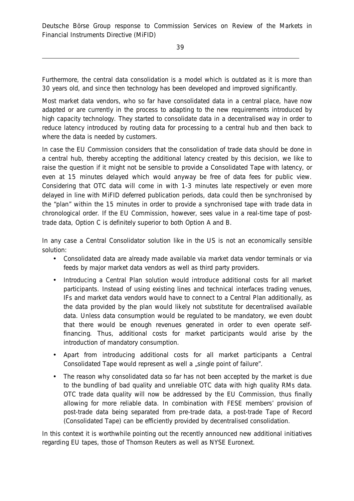Furthermore, the central data consolidation is a model which is outdated as it is more than 30 years old, and since then technology has been developed and improved significantly.

Most market data vendors, who so far have consolidated data in a central place, have now adapted or are currently in the process to adapting to the new requirements introduced by high capacity technology. They started to consolidate data in a decentralised way in order to reduce latency introduced by routing data for processing to a central hub and then back to where the data is needed by customers.

In case the EU Commission considers that the consolidation of trade data should be done in a central hub, thereby accepting the additional latency created by this decision, we like to raise the question if it might not be sensible to provide a Consolidated Tape with latency, or even at 15 minutes delayed which would anyway be free of data fees for public view. Considering that OTC data will come in with 1-3 minutes late respectively or even more delayed in line with MiFID deferred publication periods, data could then be synchronised by the "plan" within the 15 minutes in order to provide a synchronised tape with trade data in chronological order. If the EU Commission, however, sees value in a real-time tape of posttrade data, Option C is definitely superior to both Option A and B.

In any case a Central Consolidator solution like in the US is not an economically sensible solution:

- Consolidated data are already made available via market data vendor terminals or via feeds by major market data vendors as well as third party providers.
- Introducing a Central Plan solution would introduce additional costs for all market participants. Instead of using existing lines and technical interfaces trading venues, IFs and market data vendors would have to connect to a Central Plan additionally, as the data provided by the plan would likely not substitute for decentralised available data. Unless data consumption would be regulated to be mandatory, we even doubt that there would be enough revenues generated in order to even operate selffinancing. Thus, additional costs for market participants would arise by the introduction of mandatory consumption.
- Apart from introducing additional costs for all market participants a Central Consolidated Tape would represent as well a "single point of failure".
- The reason why consolidated data so far has not been accepted by the market is due to the bundling of bad quality and unreliable OTC data with high quality RMs data. OTC trade data quality will now be addressed by the EU Commission, thus finally allowing for more reliable data. In combination with FESE members' provision of post-trade data being separated from pre-trade data, a post-trade Tape of Record (Consolidated Tape) can be efficiently provided by decentralised consolidation.

In this context it is worthwhile pointing out the recently announced new additional initiatives regarding EU tapes, those of Thomson Reuters as well as NYSE Euronext.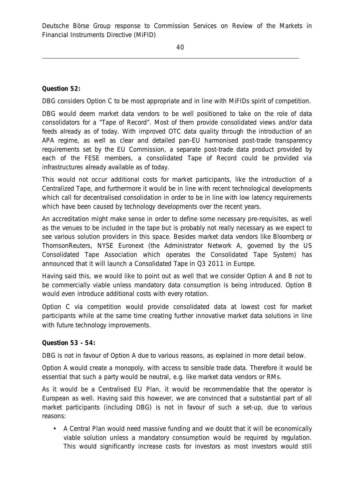**Question 52:**

DBG considers Option C to be most appropriate and in line with MiFIDs spirit of competition.

DBG would deem market data vendors to be well positioned to take on the role of data consolidators for a "Tape of Record". Most of them provide consolidated views and/or data feeds already as of today. With improved OTC data quality through the introduction of an APA regime, as well as clear and detailed pan-EU harmonised post-trade transparency requirements set by the EU Commission, a separate post-trade data product provided by each of the FESE members, a consolidated Tape of Record could be provided via infrastructures already available as of today.

This would not occur additional costs for market participants, like the introduction of a Centralized Tape, and furthermore it would be in line with recent technological developments which call for decentralised consolidation in order to be in line with low latency requirements which have been caused by technology developments over the recent years.

An accreditation might make sense in order to define some necessary pre-requisites, as well as the venues to be included in the tape but is probably not really necessary as we expect to see various solution providers in this space. Besides market data vendors like Bloomberg or ThomsonReuters, NYSE Euronext (the Administrator Network A, governed by the US Consolidated Tape Association which operates the Consolidated Tape System) has announced that it will launch a Consolidated Tape in Q3 2011 in Europe.

Having said this, we would like to point out as well that we consider Option A and B not to be commercially viable unless mandatory data consumption is being introduced. Option B would even introduce additional costs with every rotation.

Option C via competition would provide consolidated data at lowest cost for market participants while at the same time creating further innovative market data solutions in line with future technology improvements.

**Question 53 - 54:** 

DBG is not in favour of Option A due to various reasons, as explained in more detail below.

Option A would create a monopoly, with access to sensible trade data. Therefore it would be essential that such a party would be neutral, e.g. like market data vendors or RMs.

As it would be a Centralised EU Plan, it would be recommendable that the operator is European as well. Having said this however, we are convinced that a substantial part of all market participants (including DBG) is not in favour of such a set-up, due to various reasons:

• A Central Plan would need massive funding and we doubt that it will be economically viable solution unless a mandatory consumption would be required by regulation. This would significantly increase costs for investors as most investors would still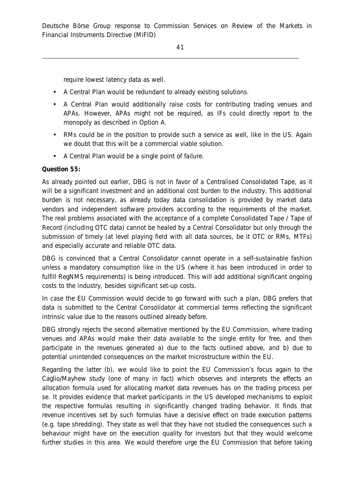require lowest latency data as well.

- A Central Plan would be redundant to already existing solutions.
- A Central Plan would additionally raise costs for contributing trading venues and APAs. However, APAs might not be required, as IFs could directly report to the monopoly as described in Option A.
- RMs could be in the position to provide such a service as well. like in the US. Again we doubt that this will be a commercial viable solution.
- A Central Plan would be a single point of failure.

#### **Question 55:**

As already pointed out earlier, DBG is not in favor of a Centralised Consolidated Tape, as it will be a significant investment and an additional cost burden to the industry. This additional burden is not necessary, as already today data consolidation is provided by market data vendors and independent software providers according to the requirements of the market. The real problems associated with the acceptance of a complete Consolidated Tape / Tape of Record (including OTC data) cannot be healed by a Central Consolidator but only through the submission of timely (at level playing field with all data sources, be it OTC or RMs, MTFs) and especially accurate and reliable OTC data.

DBG is convinced that a Central Consolidator cannot operate in a self-sustainable fashion unless a mandatory consumption like in the US (where it has been introduced in order to fulfill RegNMS requirements) is being introduced. This will add additional significant ongoing costs to the industry, besides significant set-up costs.

In case the EU Commission would decide to go forward with such a plan, DBG prefers that data is submitted to the Central Consolidator at commercial terms reflecting the significant intrinsic value due to the reasons outlined already before.

DBG strongly rejects the second alternative mentioned by the EU Commission, where trading venues and APAs would make their data available to the single entity for free, and then participate in the revenues generated a) due to the facts outlined above, and b) due to potential unintended consequences on the market microstructure within the EU.

Regarding the latter (b), we would like to point the EU Commission's focus again to the Caglio/Mayhew study (one of many in fact) which observes and interprets the effects an allocation formula used for allocating market data revenues has on the trading process per se. It provides evidence that market participants in the US developed mechanisms to exploit the respective formulas resulting in significantly changed trading behavior. It finds that revenue incentives set by such formulas have a decisive effect on trade execution patterns (e.g. tape shredding). They state as well that they have not studied the consequences such a behaviour might have on the execution quality for investors but that they would welcome further studies in this area. We would therefore urge the EU Commission that before taking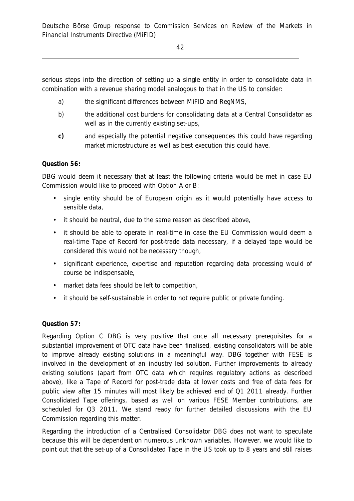42

serious steps into the direction of setting up a single entity in order to consolidate data in combination with a revenue sharing model analogous to that in the US to consider:

- a) the significant differences between MiFID and RegNMS,
- b) the additional cost burdens for consolidating data at a Central Consolidator as well as in the currently existing set-ups,
- **c)** and especially the potential negative consequences this could have regarding market microstructure as well as best execution this could have.

## **Question 56:**

DBG would deem it necessary that at least the following criteria would be met in case EU Commission would like to proceed with Option A or B:

- single entity should be of European origin as it would potentially have access to sensible data,
- it should be neutral, due to the same reason as described above,
- it should be able to operate in real-time in case the EU Commission would deem a real-time Tape of Record for post-trade data necessary, if a delayed tape would be considered this would not be necessary though,
- significant experience, expertise and reputation regarding data processing would of course be indispensable,
- market data fees should be left to competition,
- it should be self-sustainable in order to not require public or private funding.

## **Question 57:**

Regarding Option C DBG is very positive that once all necessary prerequisites for a substantial improvement of OTC data have been finalised, existing consolidators will be able to improve already existing solutions in a meaningful way. DBG together with FESE is involved in the development of an industry led solution. Further improvements to already existing solutions (apart from OTC data which requires regulatory actions as described above), like a Tape of Record for post-trade data at lower costs and free of data fees for public view after 15 minutes will most likely be achieved end of Q1 2011 already. Further Consolidated Tape offerings, based as well on various FESE Member contributions, are scheduled for Q3 2011. We stand ready for further detailed discussions with the EU Commission regarding this matter.

Regarding the introduction of a Centralised Consolidator DBG does not want to speculate because this will be dependent on numerous unknown variables. However, we would like to point out that the set-up of a Consolidated Tape in the US took up to 8 years and still raises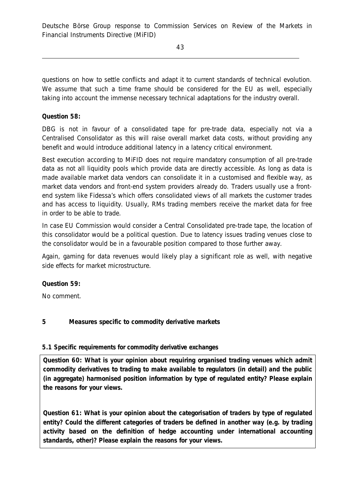questions on how to settle conflicts and adapt it to current standards of technical evolution. We assume that such a time frame should be considered for the EU as well, especially taking into account the immense necessary technical adaptations for the industry overall.

# **Question 58:**

DBG is not in favour of a consolidated tape for pre-trade data, especially not via a Centralised Consolidator as this will raise overall market data costs, without providing any benefit and would introduce additional latency in a latency critical environment.

Best execution according to MiFID does not require mandatory consumption of all pre-trade data as not all liquidity pools which provide data are directly accessible. As long as data is made available market data vendors can consolidate it in a customised and flexible way, as market data vendors and front-end system providers already do. Traders usually use a frontend system like Fidessa's which offers consolidated views of all markets the customer trades and has access to liquidity. Usually, RMs trading members receive the market data for free in order to be able to trade.

In case EU Commission would consider a Central Consolidated pre-trade tape, the location of this consolidator would be a political question. Due to latency issues trading venues close to the consolidator would be in a favourable position compared to those further away.

Again, gaming for data revenues would likely play a significant role as well, with negative side effects for market microstructure.

**Question 59:** 

No comment.

# **5 Measures specific to commodity derivative markets**

# *5.1 Specific requirements for commodity derivative exchanges*

**Question 60: What is your opinion about requiring organised trading venues which admit commodity derivatives to trading to make available to regulators (in detail) and the public (in aggregate) harmonised position information by type of regulated entity? Please explain the reasons for your views.** 

**Question 61: What is your opinion about the categorisation of traders by type of regulated entity? Could the different categories of traders be defined in another way (e.g. by trading activity based on the definition of hedge accounting under international accounting standards, other)? Please explain the reasons for your views.**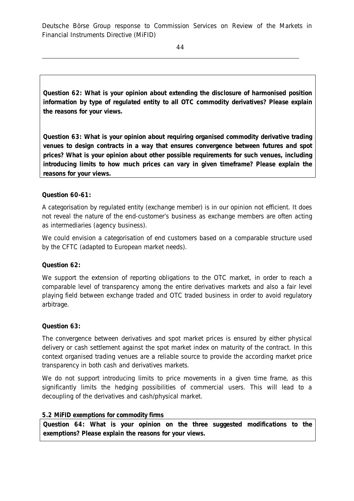44

**Question 62: What is your opinion about extending the disclosure of harmonised position information by type of regulated entity to all OTC commodity derivatives? Please explain the reasons for your views.** 

**Question 63: What is your opinion about requiring organised commodity derivative trading venues to design contracts in a way that ensures convergence between futures and spot prices? What is your opinion about other possible requirements for such venues, including introducing limits to how much prices can vary in given timeframe? Please explain the reasons for your views.** 

# **Question 60-61:**

A categorisation by regulated entity (exchange member) is in our opinion not efficient. It does not reveal the nature of the end-customer's business as exchange members are often acting as intermediaries (agency business).

We could envision a categorisation of end customers based on a comparable structure used by the CFTC (adapted to European market needs).

## **Question 62:**

We support the extension of reporting obligations to the OTC market, in order to reach a comparable level of transparency among the entire derivatives markets and also a fair level playing field between exchange traded and OTC traded business in order to avoid regulatory arbitrage.

## **Question 63:**

The convergence between derivatives and spot market prices is ensured by either physical delivery or cash settlement against the spot market index on maturity of the contract. In this context organised trading venues are a reliable source to provide the according market price transparency in both cash and derivatives markets.

We do not support introducing limits to price movements in a given time frame, as this significantly limits the hedging possibilities of commercial users. This will lead to a decoupling of the derivatives and cash/physical market.

## *5.2 MiFID exemptions for commodity firms*

**Question 64: What is your opinion on the three suggested modifications to the exemptions? Please explain the reasons for your views.**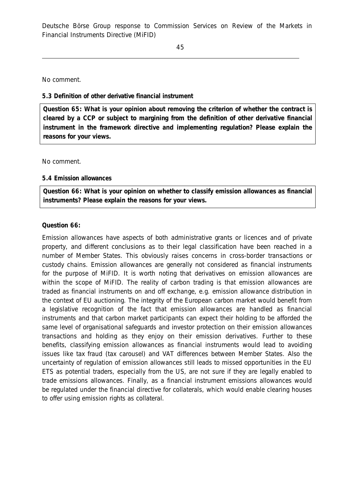No comment.

### *5.3 Definition of other derivative financial instrument*

**Question 65: What is your opinion about removing the criterion of whether the contract is cleared by a CCP or subject to margining from the definition of other derivative financial instrument in the framework directive and implementing regulation? Please explain the reasons for your views.** 

No comment.

### *5.4 Emission allowances*

**Question 66: What is your opinion on whether to classify emission allowances as financial instruments? Please explain the reasons for your views.** 

### **Question 66:**

Emission allowances have aspects of both administrative grants or licences and of private property, and different conclusions as to their legal classification have been reached in a number of Member States. This obviously raises concerns in cross-border transactions or custody chains. Emission allowances are generally not considered as financial instruments for the purpose of MiFID. It is worth noting that derivatives on emission allowances are within the scope of MiFID. The reality of carbon trading is that emission allowances are traded as financial instruments on and off exchange, e.g. emission allowance distribution in the context of EU auctioning. The integrity of the European carbon market would benefit from a legislative recognition of the fact that emission allowances are handled as financial instruments and that carbon market participants can expect their holding to be afforded the same level of organisational safeguards and investor protection on their emission allowances transactions and holding as they enjoy on their emission derivatives. Further to these benefits, classifying emission allowances as financial instruments would lead to avoiding issues like tax fraud (tax carousel) and VAT differences between Member States. Also the uncertainty of regulation of emission allowances still leads to missed opportunities in the EU ETS as potential traders, especially from the US, are not sure if they are legally enabled to trade emissions allowances. Finally, as a financial instrument emissions allowances would be regulated under the financial directive for collaterals, which would enable clearing houses to offer using emission rights as collateral.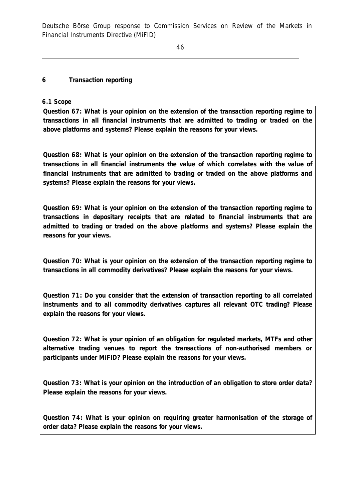## **6 Transaction reporting**

*6.1 Scope* 

**Question 67: What is your opinion on the extension of the transaction reporting regime to transactions in all financial instruments that are admitted to trading or traded on the above platforms and systems? Please explain the reasons for your views.** 

**Question 68: What is your opinion on the extension of the transaction reporting regime to transactions in all financial instruments the value of which correlates with the value of financial instruments that are admitted to trading or traded on the above platforms and systems? Please explain the reasons for your views.** 

**Question 69: What is your opinion on the extension of the transaction reporting regime to transactions in depositary receipts that are related to financial instruments that are admitted to trading or traded on the above platforms and systems? Please explain the reasons for your views.** 

**Question 70: What is your opinion on the extension of the transaction reporting regime to transactions in all commodity derivatives? Please explain the reasons for your views.** 

**Question 71: Do you consider that the extension of transaction reporting to all correlated instruments and to all commodity derivatives captures all relevant OTC trading? Please explain the reasons for your views.** 

**Question 72: What is your opinion of an obligation for regulated markets, MTFs and other alternative trading venues to report the transactions of non-authorised members or participants under MiFID? Please explain the reasons for your views.** 

**Question 73: What is your opinion on the introduction of an obligation to store order data? Please explain the reasons for your views.** 

**Question 74: What is your opinion on requiring greater harmonisation of the storage of order data? Please explain the reasons for your views.**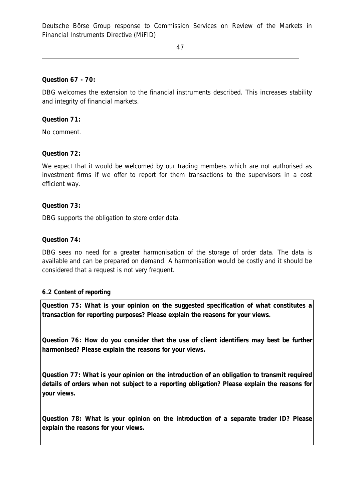**Question 67 - 70:** 

DBG welcomes the extension to the financial instruments described. This increases stability and integrity of financial markets.

**Question 71:** 

No comment.

**Question 72:** 

We expect that it would be welcomed by our trading members which are not authorised as investment firms if we offer to report for them transactions to the supervisors in a cost efficient way.

**Question 73:** 

DBG supports the obligation to store order data.

**Question 74:** 

DBG sees no need for a greater harmonisation of the storage of order data. The data is available and can be prepared on demand. A harmonisation would be costly and it should be considered that a request is not very frequent.

#### *6.2 Content of reporting*

**Question 75: What is your opinion on the suggested specification of what constitutes a transaction for reporting purposes? Please explain the reasons for your views.** 

**Question 76: How do you consider that the use of client identifiers may best be further harmonised? Please explain the reasons for your views.** 

**Question 77: What is your opinion on the introduction of an obligation to transmit required details of orders when not subject to a reporting obligation? Please explain the reasons for your views.** 

**Question 78: What is your opinion on the introduction of a separate trader ID? Please explain the reasons for your views.**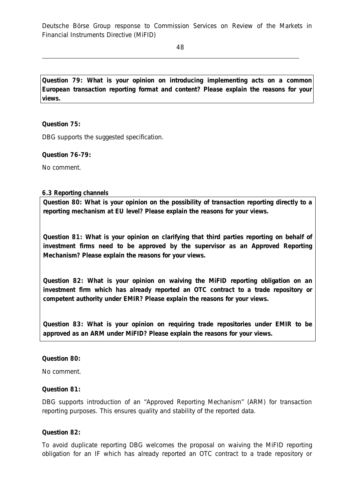48

**Question 79: What is your opinion on introducing implementing acts on a common European transaction reporting format and content? Please explain the reasons for your views.** 

**Question 75:** 

DBG supports the suggested specification.

**Question 76-79:** 

No comment.

#### *6.3 Reporting channels*

**Question 80: What is your opinion on the possibility of transaction reporting directly to a reporting mechanism at EU level? Please explain the reasons for your views.** 

**Question 81: What is your opinion on clarifying that third parties reporting on behalf of investment firms need to be approved by the supervisor as an Approved Reporting Mechanism? Please explain the reasons for your views.** 

**Question 82: What is your opinion on waiving the MiFID reporting obligation on an investment firm which has already reported an OTC contract to a trade repository or competent authority under EMIR? Please explain the reasons for your views.** 

**Question 83: What is your opinion on requiring trade repositories under EMIR to be approved as an ARM under MiFID? Please explain the reasons for your views.** 

**Question 80:** 

No comment.

**Question 81:** 

DBG supports introduction of an "Approved Reporting Mechanism" (ARM) for transaction reporting purposes. This ensures quality and stability of the reported data.

**Question 82:** 

To avoid duplicate reporting DBG welcomes the proposal on waiving the MiFID reporting obligation for an IF which has already reported an OTC contract to a trade repository or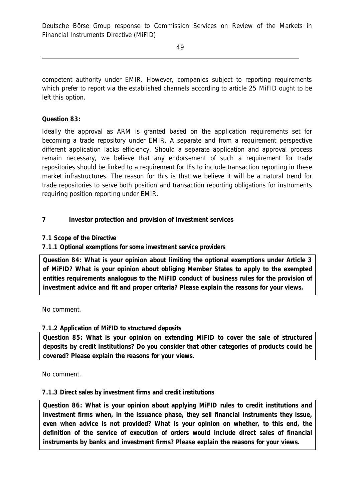competent authority under EMIR. However, companies subject to reporting requirements which prefer to report via the established channels according to article 25 MiFID ought to be left this option.

# **Question 83:**

Ideally the approval as ARM is granted based on the application requirements set for becoming a trade repository under EMIR. A separate and from a requirement perspective different application lacks efficiency. Should a separate application and approval process remain necessary, we believe that any endorsement of such a requirement for trade repositories should be linked to a requirement for IFs to include transaction reporting in these market infrastructures. The reason for this is that we believe it will be a natural trend for trade repositories to serve both position and transaction reporting obligations for instruments requiring position reporting under EMIR.

# **7 Investor protection and provision of investment services**

## *7.1 Scope of the Directive*

*7.1.1 Optional exemptions for some investment service providers* 

**Question 84: What is your opinion about limiting the optional exemptions under Article 3 of MiFID? What is your opinion about obliging Member States to apply to the exempted entities requirements analogous to the MiFID conduct of business rules for the provision of investment advice and fit and proper criteria? Please explain the reasons for your views.** 

#### No comment.

## *7.1.2 Application of MiFID to structured deposits*

**Question 85: What is your opinion on extending MiFID to cover the sale of structured deposits by credit institutions? Do you consider that other categories of products could be covered? Please explain the reasons for your views.** 

No comment.

## *7.1.3 Direct sales by investment firms and credit institutions*

**Question 86: What is your opinion about applying MiFID rules to credit institutions and investment firms when, in the issuance phase, they sell financial instruments they issue, even when advice is not provided? What is your opinion on whether, to this end, the definition of the service of execution of orders would include direct sales of financial instruments by banks and investment firms? Please explain the reasons for your views.**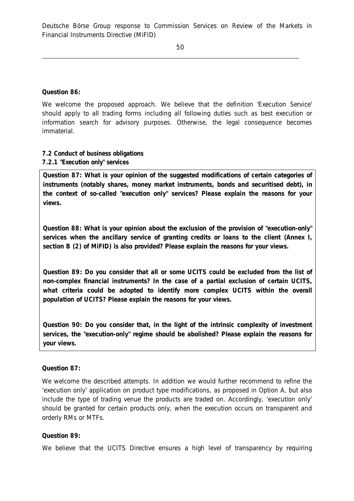**Question 86:** 

We welcome the proposed approach. We believe that the definition 'Execution Service' should apply to all trading forms including all following duties such as best execution or information search for advisory purposes. Otherwise, the legal consequence becomes immaterial.

## *7.2 Conduct of business obligations 7.2.1 "Execution only" services*

**Question 87: What is your opinion of the suggested modifications of certain categories of instruments (notably shares, money market instruments, bonds and securitised debt), in the context of so-called "execution only" services? Please explain the reasons for your views.** 

**Question 88: What is your opinion about the exclusion of the provision of "execution-only" services when the ancillary service of granting credits or loans to the client (Annex I, section B (2) of MiFID) is also provided? Please explain the reasons for your views.** 

**Question 89: Do you consider that all or some UCITS could be excluded from the list of non-complex financial instruments? In the case of a partial exclusion of certain UCITS, what criteria could be adopted to identify more complex UCITS within the overall population of UCITS? Please explain the reasons for your views.** 

**Question 90: Do you consider that, in the light of the intrinsic complexity of investment services, the "execution-only" regime should be abolished? Please explain the reasons for your views.** 

#### **Question 87:**

We welcome the described attempts. In addition we would further recommend to refine the 'execution only' application on product type modifications, as proposed in Option A, but also include the type of trading venue the products are traded on. Accordingly, 'execution only' should be granted for certain products only, when the execution occurs on transparent and orderly RMs or MTFs.

## **Question 89:**

We believe that the UCITS Directive ensures a high level of transparency by requiring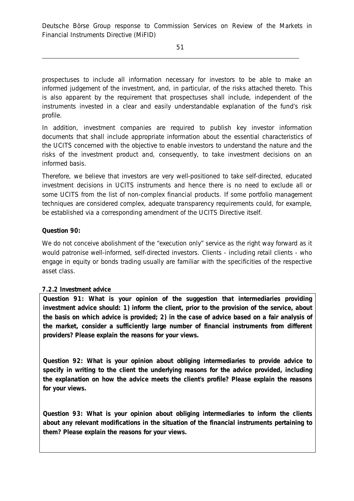prospectuses to include all information necessary for investors to be able to make an informed judgement of the investment, and, in particular, of the risks attached thereto. This is also apparent by the requirement that prospectuses shall include, independent of the instruments invested in a clear and easily understandable explanation of the fund's risk profile.

In addition, investment companies are required to publish key investor information documents that shall include appropriate information about the essential characteristics of the UCITS concerned with the objective to enable investors to understand the nature and the risks of the investment product and, consequently, to take investment decisions on an informed basis.

Therefore, we believe that investors are very well-positioned to take self-directed, educated investment decisions in UCITS instruments and hence there is no need to exclude all or some UCITS from the list of non-complex financial products. If some portfolio management techniques are considered complex, adequate transparency requirements could, for example, be established via a corresponding amendment of the UCITS Directive itself.

# **Question 90:**

We do not conceive abolishment of the "execution only" service as the right way forward as it would patronise well-informed, self-directed investors. Clients - including retail clients - who engage in equity or bonds trading usually are familiar with the specificities of the respective asset class.

## *7.2.2 Investment advice*

**Question 91: What is your opinion of the suggestion that intermediaries providing investment advice should: 1) inform the client, prior to the provision of the service, about**  the basis on which advice is provided; 2) in the case of advice based on a fair analysis of **the market, consider a sufficiently large number of financial instruments from different providers? Please explain the reasons for your views.** 

**Question 92: What is your opinion about obliging intermediaries to provide advice to specify in writing to the client the underlying reasons for the advice provided, including the explanation on how the advice meets the client's profile? Please explain the reasons for your views.** 

**Question 93: What is your opinion about obliging intermediaries to inform the clients about any relevant modifications in the situation of the financial instruments pertaining to them? Please explain the reasons for your views.**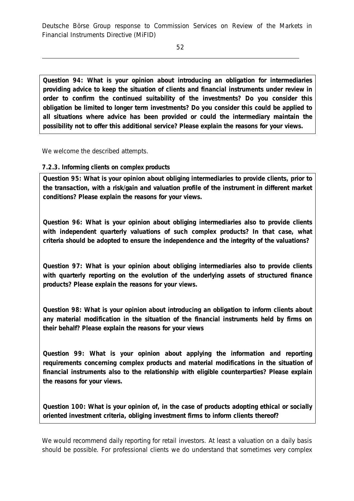**Question 94: What is your opinion about introducing an obligation for intermediaries providing advice to keep the situation of clients and financial instruments under review in order to confirm the continued suitability of the investments? Do you consider this obligation be limited to longer term investments? Do you consider this could be applied to all situations where advice has been provided or could the intermediary maintain the possibility not to offer this additional service? Please explain the reasons for your views.** 

We welcome the described attempts.

### *7.2.3. Informing clients on complex products*

**Question 95: What is your opinion about obliging intermediaries to provide clients, prior to the transaction, with a risk/gain and valuation profile of the instrument in different market conditions? Please explain the reasons for your views.** 

**Question 96: What is your opinion about obliging intermediaries also to provide clients with independent quarterly valuations of such complex products? In that case, what criteria should be adopted to ensure the independence and the integrity of the valuations?** 

**Question 97: What is your opinion about obliging intermediaries also to provide clients with quarterly reporting on the evolution of the underlying assets of structured finance products? Please explain the reasons for your views.** 

**Question 98: What is your opinion about introducing an obligation to inform clients about any material modification in the situation of the financial instruments held by firms on their behalf? Please explain the reasons for your views** 

**Question 99: What is your opinion about applying the information and reporting requirements concerning complex products and material modifications in the situation of financial instruments also to the relationship with eligible counterparties? Please explain the reasons for your views.** 

**Question 100: What is your opinion of, in the case of products adopting ethical or socially oriented investment criteria, obliging investment firms to inform clients thereof?** 

We would recommend daily reporting for retail investors. At least a valuation on a daily basis should be possible. For professional clients we do understand that sometimes very complex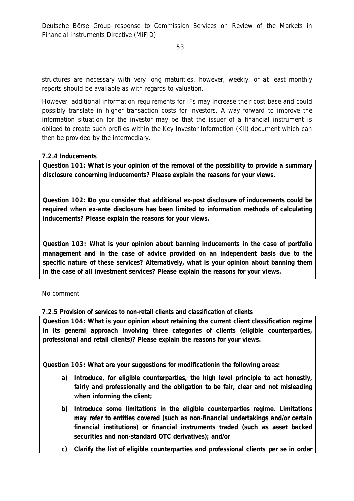structures are necessary with very long maturities, however, weekly, or at least monthly reports should be available as with regards to valuation.

However, additional information requirements for IFs may increase their cost base and could possibly translate in higher transaction costs for investors. A way forward to improve the information situation for the investor may be that the issuer of a financial instrument is obliged to create such profiles within the Key Investor Information (KII) document which can then be provided by the intermediary.

# *7.2.4 Inducements*

**Question 101: What is your opinion of the removal of the possibility to provide a summary disclosure concerning inducements? Please explain the reasons for your views.** 

**Question 102: Do you consider that additional ex-post disclosure of inducements could be required when ex-ante disclosure has been limited to information methods of calculating inducements? Please explain the reasons for your views.** 

**Question 103: What is your opinion about banning inducements in the case of portfolio management and in the case of advice provided on an independent basis due to the specific nature of these services? Alternatively, what is your opinion about banning them in the case of all investment services? Please explain the reasons for your views.** 

No comment.

## *7.2.5 Provision of services to non-retail clients and classification of clients*

**Question 104: What is your opinion about retaining the current client classification regime in its general approach involving three categories of clients (eligible counterparties, professional and retail clients)? Please explain the reasons for your views.** 

**Question 105: What are your suggestions for modificationin the following areas:** 

- **a) Introduce, for eligible counterparties, the high level principle to act honestly, fairly and professionally and the obligation to be fair, clear and not misleading when informing the client;**
- **b) Introduce some limitations in the eligible counterparties regime. Limitations may refer to entities covered (such as non-financial undertakings and/or certain financial institutions) or financial instruments traded (such as asset backed securities and non-standard OTC derivatives); and/or**
- **c) Clarify the list of eligible counterparties and professional clients per se in order**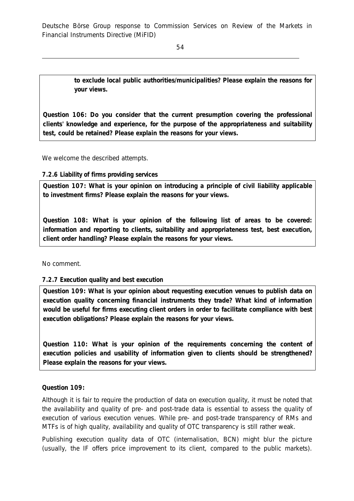54

**to exclude local public authorities/municipalities? Please explain the reasons for your views.** 

**Question 106: Do you consider that the current presumption covering the professional clients' knowledge and experience, for the purpose of the appropriateness and suitability test, could be retained? Please explain the reasons for your views.** 

We welcome the described attempts.

### *7.2.6 Liability of firms providing services*

**Question 107: What is your opinion on introducing a principle of civil liability applicable to investment firms? Please explain the reasons for your views.** 

**Question 108: What is your opinion of the following list of areas to be covered: information and reporting to clients, suitability and appropriateness test, best execution, client order handling? Please explain the reasons for your views.** 

No comment.

## *7.2.7 Execution quality and best execution*

**Question 109: What is your opinion about requesting execution venues to publish data on execution quality concerning financial instruments they trade? What kind of information would be useful for firms executing client orders in order to facilitate compliance with best execution obligations? Please explain the reasons for your views.** 

**Question 110: What is your opinion of the requirements concerning the content of execution policies and usability of information given to clients should be strengthened? Please explain the reasons for your views.** 

**Question 109:** 

Although it is fair to require the production of data on execution quality, it must be noted that the availability and quality of pre- and post-trade data is essential to assess the quality of execution of various execution venues. While pre- and post-trade transparency of RMs and MTFs is of high quality, availability and quality of OTC transparency is still rather weak.

Publishing execution quality data of OTC (internalisation, BCN) might blur the picture (usually, the IF offers price improvement to its client, compared to the public markets).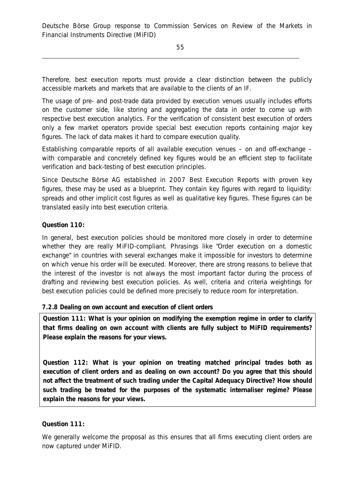Therefore, best execution reports must provide a clear distinction between the publicly accessible markets and markets that are available to the clients of an IF.

The usage of pre- and post-trade data provided by execution venues usually includes efforts on the customer side, like storing and aggregating the data in order to come up with respective best execution analytics. For the verification of consistent best execution of orders only a few market operators provide special best execution reports containing major key figures. The lack of data makes it hard to compare execution quality.

Establishing comparable reports of all available execution venues – on and off-exchange – with comparable and concretely defined key figures would be an efficient step to facilitate verification and back-testing of best execution principles.

Since Deutsche Börse AG established in 2007 Best Execution Reports with proven key figures, these may be used as a blueprint. They contain key figures with regard to liquidity: spreads and other implicit cost figures as well as qualitative key figures. These figures can be translated easily into best execution criteria.

## **Question 110:**

In general, best execution policies should be monitored more closely in order to determine whether they are really MiFID-compliant. Phrasings like "Order execution on a domestic exchange" in countries with several exchanges make it impossible for investors to determine on which venue his order will be executed. Moreover, there are strong reasons to believe that the interest of the investor is not always the most important factor during the process of drafting and reviewing best execution policies. As well, criteria and criteria weightings for best execution policies could be defined more precisely to reduce room for interpretation.

## *7.2.8 Dealing on own account and execution of client orders*

**Question 111: What is your opinion on modifying the exemption regime in order to clarify that firms dealing on own account with clients are fully subject to MiFID requirements? Please explain the reasons for your views.** 

**Question 112: What is your opinion on treating matched principal trades both as execution of client orders and as dealing on own account? Do you agree that this should not affect the treatment of such trading under the Capital Adequacy Directive? How should such trading be treated for the purposes of the systematic internaliser regime? Please explain the reasons for your views.**

## **Question 111:**

We generally welcome the proposal as this ensures that all firms executing client orders are now captured under MiFID.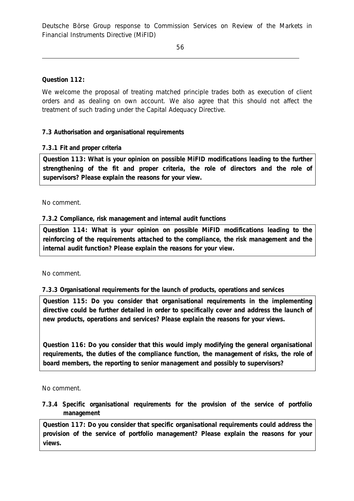# **Question 112:**

We welcome the proposal of treating matched principle trades both as execution of client orders and as dealing on own account. We also agree that this should not affect the treatment of such trading under the Capital Adequacy Directive.

# *7.3 Authorisation and organisational requirements*

## *7.3.1 Fit and proper criteria*

**Question 113: What is your opinion on possible MiFID modifications leading to the further strengthening of the fit and proper criteria, the role of directors and the role of supervisors? Please explain the reasons for your view.** 

## No comment.

## *7.3.2 Compliance, risk management and internal audit functions*

**Question 114: What is your opinion on possible MiFID modifications leading to the reinforcing of the requirements attached to the compliance, the risk management and the internal audit function? Please explain the reasons for your view.** 

## No comment.

## *7.3.3 Organisational requirements for the launch of products, operations and services*

**Question 115: Do you consider that organisational requirements in the implementing directive could be further detailed in order to specifically cover and address the launch of new products, operations and services? Please explain the reasons for your views.** 

**Question 116: Do you consider that this would imply modifying the general organisational requirements, the duties of the compliance function, the management of risks, the role of board members, the reporting to senior management and possibly to supervisors?** 

No comment.

## *7.3.4 Specific organisational requirements for the provision of the service of portfolio management*

**Question 117: Do you consider that specific organisational requirements could address the provision of the service of portfolio management? Please explain the reasons for your views.**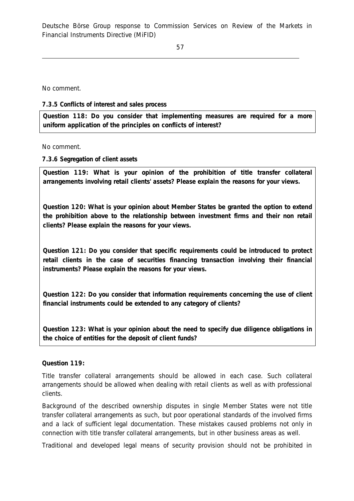No comment.

### *7.3.5 Conflicts of interest and sales process*

**Question 118: Do you consider that implementing measures are required for a more uniform application of the principles on conflicts of interest?**

No comment.

### *7.3.6 Segregation of client assets*

**Question 119: What is your opinion of the prohibition of title transfer collateral arrangements involving retail clients' assets? Please explain the reasons for your views.** 

**Question 120: What is your opinion about Member States be granted the option to extend the prohibition above to the relationship between investment firms and their non retail clients? Please explain the reasons for your views.** 

**Question 121: Do you consider that specific requirements could be introduced to protect retail clients in the case of securities financing transaction involving their financial instruments? Please explain the reasons for your views.** 

**Question 122: Do you consider that information requirements concerning the use of client financial instruments could be extended to any category of clients?** 

**Question 123: What is your opinion about the need to specify due diligence obligations in the choice of entities for the deposit of client funds?** 

### **Question 119:**

Title transfer collateral arrangements should be allowed in each case. Such collateral arrangements should be allowed when dealing with retail clients as well as with professional clients.

Background of the described ownership disputes in single Member States were not title transfer collateral arrangements as such, but poor operational standards of the involved firms and a lack of sufficient legal documentation. These mistakes caused problems not only in connection with title transfer collateral arrangements, but in other business areas as well.

Traditional and developed legal means of security provision should not be prohibited in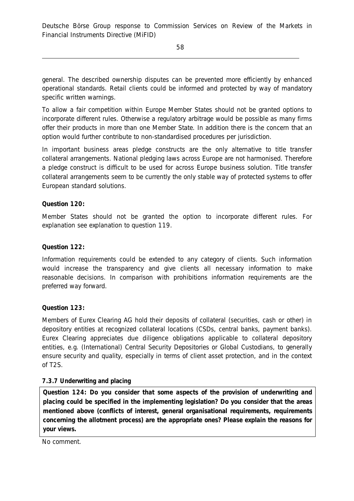general. The described ownership disputes can be prevented more efficiently by enhanced operational standards. Retail clients could be informed and protected by way of mandatory specific written warnings.

To allow a fair competition within Europe Member States should not be granted options to incorporate different rules. Otherwise a regulatory arbitrage would be possible as many firms offer their products in more than one Member State. In addition there is the concern that an option would further contribute to non-standardised procedures per jurisdiction.

In important business areas pledge constructs are the only alternative to title transfer collateral arrangements. National pledging laws across Europe are not harmonised. Therefore a pledge construct is difficult to be used for across Europe business solution. Title transfer collateral arrangements seem to be currently the only stable way of protected systems to offer European standard solutions.

## **Question 120:**

Member States should not be granted the option to incorporate different rules. For explanation see explanation to question 119.

## **Question 122:**

Information requirements could be extended to any category of clients. Such information would increase the transparency and give clients all necessary information to make reasonable decisions. In comparison with prohibitions information requirements are the preferred way forward.

**Question 123:** 

Members of Eurex Clearing AG hold their deposits of collateral (securities, cash or other) in depository entities at recognized collateral locations (CSDs, central banks, payment banks). Eurex Clearing appreciates due diligence obligations applicable to collateral depository entities, e.g. (International) Central Security Depositories or Global Custodians, to generally ensure security and quality, especially in terms of client asset protection, and in the context of T2S.

## *7.3.7 Underwriting and placing*

**Question 124: Do you consider that some aspects of the provision of underwriting and placing could be specified in the implementing legislation? Do you consider that the areas mentioned above (conflicts of interest, general organisational requirements, requirements concerning the allotment process) are the appropriate ones? Please explain the reasons for your views.** 

No comment.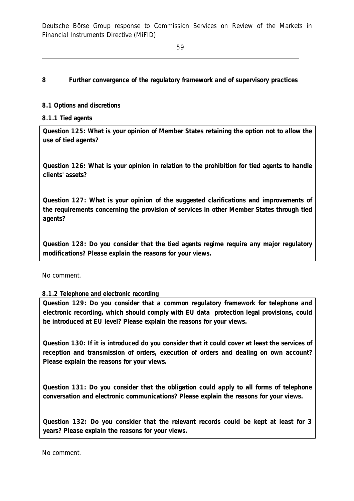## **8 Further convergence of the regulatory framework and of supervisory practices**

### *8.1 Options and discretions*

### *8.1.1 Tied agents*

**Question 125: What is your opinion of Member States retaining the option not to allow the use of tied agents?** 

**Question 126: What is your opinion in relation to the prohibition for tied agents to handle clients' assets?** 

**Question 127: What is your opinion of the suggested clarifications and improvements of the requirements concerning the provision of services in other Member States through tied agents?** 

**Question 128: Do you consider that the tied agents regime require any major regulatory modifications? Please explain the reasons for your views.** 

No comment.

## *8.1.2 Telephone and electronic recording*

**Question 129: Do you consider that a common regulatory framework for telephone and electronic recording, which should comply with EU data protection legal provisions, could be introduced at EU level? Please explain the reasons for your views.** 

**Question 130: If it is introduced do you consider that it could cover at least the services of reception and transmission of orders, execution of orders and dealing on own account? Please explain the reasons for your views.** 

**Question 131: Do you consider that the obligation could apply to all forms of telephone conversation and electronic communications? Please explain the reasons for your views.** 

**Question 132: Do you consider that the relevant records could be kept at least for 3 years? Please explain the reasons for your views.** 

No comment.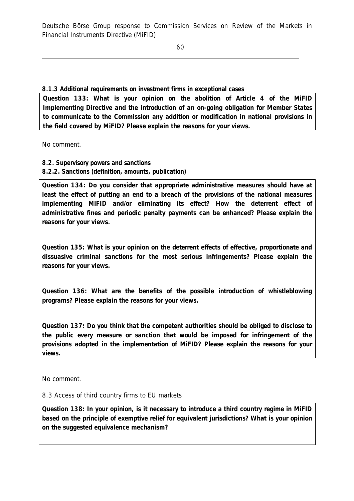## *8.1.3 Additional requirements on investment firms in exceptional cases*

**Question 133: What is your opinion on the abolition of Article 4 of the MiFID Implementing Directive and the introduction of an on-going obligation for Member States to communicate to the Commission any addition or modification in national provisions in the field covered by MiFID? Please explain the reasons for your views.** 

No comment.

## *8.2. Supervisory powers and sanctions 8.2.2. Sanctions (definition, amounts, publication)*

**Question 134: Do you consider that appropriate administrative measures should have at least the effect of putting an end to a breach of the provisions of the national measures implementing MiFID and/or eliminating its effect? How the deterrent effect of administrative fines and periodic penalty payments can be enhanced? Please explain the reasons for your views.** 

**Question 135: What is your opinion on the deterrent effects of effective, proportionate and dissuasive criminal sanctions for the most serious infringements? Please explain the reasons for your views.** 

**Question 136: What are the benefits of the possible introduction of whistleblowing programs? Please explain the reasons for your views.** 

**Question 137: Do you think that the competent authorities should be obliged to disclose to the public every measure or sanction that would be imposed for infringement of the provisions adopted in the implementation of MiFID? Please explain the reasons for your views.** 

No comment.

## *8.3 Access of third country firms to EU markets*

**Question 138: In your opinion, is it necessary to introduce a third country regime in MiFID based on the principle of exemptive relief for equivalent jurisdictions? What is your opinion on the suggested equivalence mechanism?**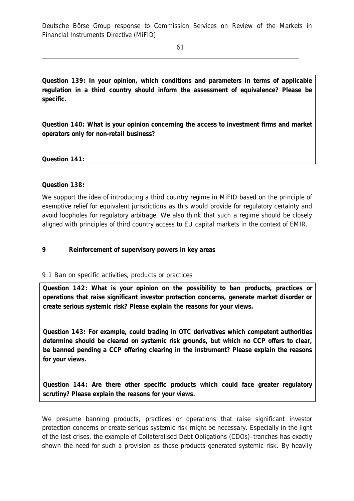**Question 139: In your opinion, which conditions and parameters in terms of applicable regulation in a third country should inform the assessment of equivalence? Please be specific.** 

**Question 140: What is your opinion concerning the access to investment firms and market operators only for non-retail business?** 

**Question 141:** 

## **Question 138:**

We support the idea of introducing a third country regime in MiFID based on the principle of exemptive relief for equivalent jurisdictions as this would provide for regulatory certainty and avoid loopholes for regulatory arbitrage. We also think that such a regime should be closely aligned with principles of third country access to EU capital markets in the context of EMIR.

## **9 Reinforcement of supervisory powers in key areas**

## *9.1 Ban on specific activities, products or practices*

**Question 142: What is your opinion on the possibility to ban products, practices or operations that raise significant investor protection concerns, generate market disorder or create serious systemic risk? Please explain the reasons for your views.** 

**Question 143: For example, could trading in OTC derivatives which competent authorities determine should be cleared on systemic risk grounds, but which no CCP offers to clear, be banned pending a CCP offering clearing in the instrument? Please explain the reasons for your views.** 

**Question 144: Are there other specific products which could face greater regulatory scrutiny? Please explain the reasons for your views.** 

We presume banning products, practices or operations that raise significant investor protection concerns or create serious systemic risk might be necessary. Especially in the light of the last crises, the example of Collateralised Debt Obligations (CDOs)–tranches has exactly shown the need for such a provision as those products generated systemic risk. By heavily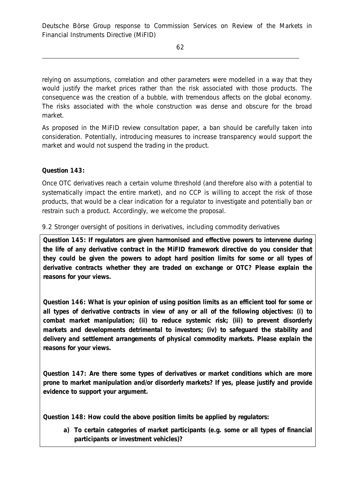relying on assumptions, correlation and other parameters were modelled in a way that they would justify the market prices rather than the risk associated with those products. The consequence was the creation of a bubble, with tremendous affects on the global economy. The risks associated with the whole construction was dense and obscure for the broad market.

As proposed in the MiFID review consultation paper, a ban should be carefully taken into consideration. Potentially, introducing measures to increase transparency would support the market and would not suspend the trading in the product.

## **Question 143:**

Once OTC derivatives reach a certain volume threshold (and therefore also with a potential to systematically impact the entire market), and no CCP is willing to accept the risk of those products, that would be a clear indication for a regulator to investigate and potentially ban or restrain such a product. Accordingly, we welcome the proposal.

# *9.2 Stronger oversight of positions in derivatives, including commodity derivatives*

**Question 145: If regulators are given harmonised and effective powers to intervene during the life of any derivative contract in the MiFID framework directive do you consider that they could be given the powers to adopt hard position limits for some or all types of derivative contracts whether they are traded on exchange or OTC? Please explain the reasons for your views.** 

**Question 146: What is your opinion of using position limits as an efficient tool for some or all types of derivative contracts in view of any or all of the following objectives: (i) to combat market manipulation; (ii) to reduce systemic risk; (iii) to prevent disorderly markets and developments detrimental to investors; (iv) to safeguard the stability and delivery and settlement arrangements of physical commodity markets. Please explain the reasons for your views.** 

**Question 147: Are there some types of derivatives or market conditions which are more prone to market manipulation and/or disorderly markets? If yes, please justify and provide evidence to support your argument.** 

**Question 148: How could the above position limits be applied by regulators:** 

**a) To certain categories of market participants (e.g. some or all types of financial participants or investment vehicles)?**